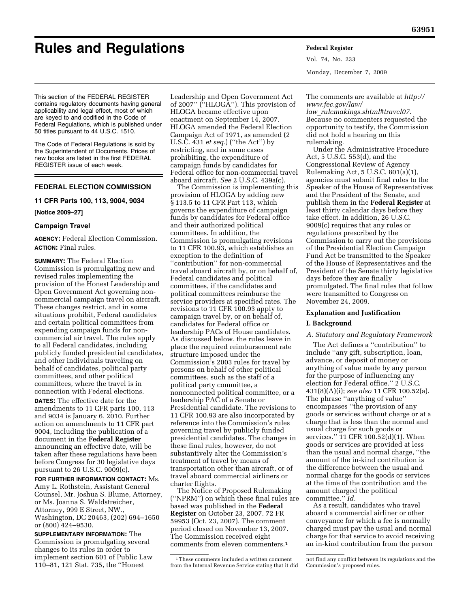# **Rules and Regulations Federal Register**

Vol. 74, No. 233 Monday, December 7, 2009

This section of the FEDERAL REGISTER contains regulatory documents having general applicability and legal effect, most of which are keyed to and codified in the Code of Federal Regulations, which is published under 50 titles pursuant to 44 U.S.C. 1510.

The Code of Federal Regulations is sold by the Superintendent of Documents. Prices of new books are listed in the first FEDERAL REGISTER issue of each week.

# **FEDERAL ELECTION COMMISSION**

# **11 CFR Parts 100, 113, 9004, 9034**

**[Notice 2009–27]** 

# **Campaign Travel**

**AGENCY:** Federal Election Commission. **ACTION:** Final rules.

**SUMMARY:** The Federal Election Commission is promulgating new and revised rules implementing the provision of the Honest Leadership and Open Government Act governing noncommercial campaign travel on aircraft. These changes restrict, and in some situations prohibit, Federal candidates and certain political committees from expending campaign funds for noncommercial air travel. The rules apply to all Federal candidates, including publicly funded presidential candidates, and other individuals traveling on behalf of candidates, political party committees, and other political committees, where the travel is in connection with Federal elections.

**DATES:** The effective date for the amendments to 11 CFR parts 100, 113 and 9034 is January 6, 2010. Further action on amendments to 11 CFR part 9004, including the publication of a document in the **Federal Register**  announcing an effective date, will be taken after these regulations have been before Congress for 30 legislative days pursuant to 26 U.S.C. 9009(c).

## **FOR FURTHER INFORMATION CONTACT:** Ms.

Amy L. Rothstein, Assistant General Counsel, Mr. Joshua S. Blume, Attorney, or Ms. Joanna S. Waldstreicher, Attorney, 999 E Street, NW., Washington, DC 20463, (202) 694–1650 or (800) 424–9530.

**SUPPLEMENTARY INFORMATION:** The Commission is promulgating several changes to its rules in order to implement section 601 of Public Law 110–81, 121 Stat. 735, the ''Honest

Leadership and Open Government Act of 2007'' (''HLOGA''). This provision of HLOGA became effective upon enactment on September 14, 2007. HLOGA amended the Federal Election Campaign Act of 1971, as amended (2 U.S.C. 431 *et seq.*) (''the Act'') by restricting, and in some cases prohibiting, the expenditure of campaign funds by candidates for Federal office for non-commercial travel aboard aircraft. *See* 2 U.S.C. 439a(c).

The Commission is implementing this provision of HLOGA by adding new § 113.5 to 11 CFR Part 113, which governs the expenditure of campaign funds by candidates for Federal office and their authorized political committees. In addition, the Commission is promulgating revisions to 11 CFR 100.93, which establishes an exception to the definition of ''contribution'' for non-commercial travel aboard aircraft by, or on behalf of, Federal candidates and political committees, if the candidates and political committees reimburse the service providers at specified rates. The revisions to 11 CFR 100.93 apply to campaign travel by, or on behalf of, candidates for Federal office or leadership PACs of House candidates. As discussed below, the rules leave in place the required reimbursement rate structure imposed under the Commission's 2003 rules for travel by persons on behalf of other political committees, such as the staff of a political party committee, a nonconnected political committee, or a leadership PAC of a Senate or Presidential candidate. The revisions to 11 CFR 100.93 are also incorporated by reference into the Commission's rules governing travel by publicly funded presidential candidates. The changes in these final rules, however, do not substantively alter the Commission's treatment of travel by means of transportation other than aircraft, or of travel aboard commercial airliners or charter flights.

The Notice of Proposed Rulemaking (''NPRM'') on which these final rules are based was published in the **Federal Register** on October 23, 2007. 72 FR 59953 (Oct. 23, 2007). The comment period closed on November 13, 2007. The Commission received eight comments from eleven commenters.1

[The comments are available at](http://www.fec.gov/law/law_rulemakings.shtml#travel07) *http:// www.fec.gov/law/* 

*law*\_*rulemakings.shtml#travel07.*  Because no commenters requested the opportunity to testify, the Commission did not hold a hearing on this rulemaking.

Under the Administrative Procedure Act, 5 U.S.C. 553(d), and the Congressional Review of Agency Rulemaking Act, 5 U.S.C. 801(a)(1), agencies must submit final rules to the Speaker of the House of Representatives and the President of the Senate, and publish them in the **Federal Register** at least thirty calendar days before they take effect. In addition, 26 U.S.C. 9009(c) requires that any rules or regulations prescribed by the Commission to carry out the provisions of the Presidential Election Campaign Fund Act be transmitted to the Speaker of the House of Representatives and the President of the Senate thirty legislative days before they are finally promulgated. The final rules that follow were transmitted to Congress on November 24, 2009.

## **Explanation and Justification**

#### **I. Background**

## *A. Statutory and Regulatory Framework*

The Act defines a ''contribution'' to include ''any gift, subscription, loan, advance, or deposit of money or anything of value made by any person for the purpose of influencing any election for Federal office.'' 2 U.S.C. 431(8)(A)(i); *see also* 11 CFR 100.52(a). The phrase ''anything of value'' encompasses ''the provision of any goods or services without charge or at a charge that is less than the normal and usual charge for such goods or services.'' 11 CFR 100.52(d)(1). When goods or services are provided at less than the usual and normal charge, ''the amount of the in-kind contribution is the difference between the usual and normal charge for the goods or services at the time of the contribution and the amount charged the political committee.'' *Id.* 

As a result, candidates who travel aboard a commercial airliner or other conveyance for which a fee is normally charged must pay the usual and normal charge for that service to avoid receiving an in-kind contribution from the person

<sup>1</sup>These comments included a written comment from the Internal Revenue Service stating that it did

not find any conflict between its regulations and the Commission's proposed rules.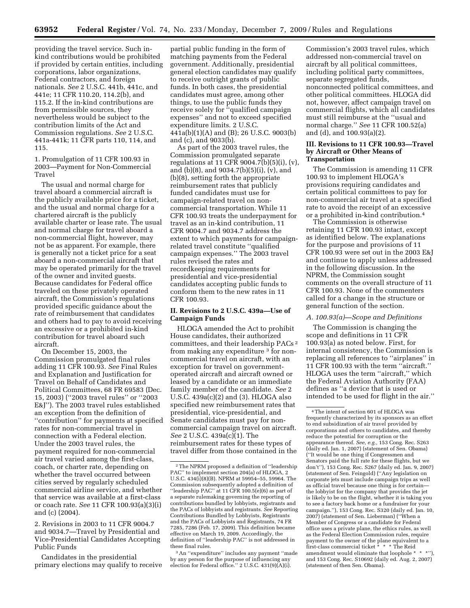providing the travel service. Such inkind contributions would be prohibited if provided by certain entities, including corporations, labor organizations, Federal contractors, and foreign nationals. *See* 2 U.S.C. 441b, 441c, and 441e; 11 CFR 110.20, 114.2(b), and 115.2. If the in-kind contributions are from permissible sources, they nevertheless would be subject to the contribution limits of the Act and Commission regulations. *See* 2 U.S.C. 441a-441k; 11 CFR parts 110, 114, and 115.

1. Promulgation of 11 CFR 100.93 in 2003—Payment for Non-Commercial Travel

The usual and normal charge for travel aboard a commercial aircraft is the publicly available price for a ticket, and the usual and normal charge for a chartered aircraft is the publicly available charter or lease rate. The usual and normal charge for travel aboard a non-commercial flight, however, may not be as apparent. For example, there is generally not a ticket price for a seat aboard a non-commercial aircraft that may be operated primarily for the travel of the owner and invited guests. Because candidates for Federal office traveled on these privately operated aircraft, the Commission's regulations provided specific guidance about the rate of reimbursement that candidates and others had to pay to avoid receiving an excessive or a prohibited in-kind contribution for travel aboard such aircraft.

On December 15, 2003, the Commission promulgated final rules adding 11 CFR 100.93. *See* Final Rules and Explanation and Justification for Travel on Behalf of Candidates and Political Committees, 68 FR 69583 (Dec. 15, 2003) (''2003 travel rules'' or ''2003 E&J''). The 2003 travel rules established an exception from the definition of ''contribution'' for payments at specified rates for non-commercial travel in connection with a Federal election. Under the 2003 travel rules, the payment required for non-commercial air travel varied among the first-class, coach, or charter rate, depending on whether the travel occurred between cities served by regularly scheduled commercial airline service, and whether that service was available at a first-class or coach rate. *See* 11 CFR 100.93(a)(3)(i) and (c) (2004).

2. Revisions in 2003 to 11 CFR 9004.7 and 9034.7—Travel by Presidential and Vice-Presidential Candidates Accepting Public Funds

Candidates in the presidential primary elections may qualify to receive

partial public funding in the form of matching payments from the Federal government. Additionally, presidential general election candidates may qualify to receive outright grants of public funds. In both cases, the presidential candidates must agree, among other things, to use the public funds they receive solely for ''qualified campaign expenses'' and not to exceed specified expenditure limits. 2 U.S.C. 441a(b)(1)(A) and (B); 26 U.S.C. 9003(b) and (c), and 9033(b).

As part of the 2003 travel rules, the Commission promulgated separate regulations at 11 CFR 9004.7(b)(5)(i), (v), and (b)(8), and 9034.7(b)(5)(i), (v), and (b)(8), setting forth the appropriate reimbursement rates that publicly funded candidates must use for campaign-related travel on noncommercial transportation. While 11 CFR 100.93 treats the underpayment for travel as an in-kind contribution, 11 CFR 9004.7 and 9034.7 address the extent to which payments for campaignrelated travel constitute ''qualified campaign expenses.'' The 2003 travel rules revised the rates and recordkeeping requirements for presidential and vice-presidential candidates accepting public funds to conform them to the new rates in 11 CFR 100.93.

# **II. Revisions to 2 U.S.C. 439a—Use of Campaign Funds**

HLOGA amended the Act to prohibit House candidates, their authorized committees, and their leadership PACs 2 from making any expenditure 3 for noncommercial travel on aircraft, with an exception for travel on governmentoperated aircraft and aircraft owned or leased by a candidate or an immediate family member of the candidate. *See* 2 U.S.C. 439a(c)(2) and (3). HLOGA also specified new reimbursement rates that presidential, vice-presidential, and Senate candidates must pay for noncommercial campaign travel on aircraft. *See* 2 U.S.C. 439a(c)(1). The reimbursement rates for these types of travel differ from those contained in the

Commission's 2003 travel rules, which addressed non-commercial travel on aircraft by all political committees, including political party committees, separate segregated funds, nonconnected political committees, and other political committees. HLOGA did not, however, affect campaign travel on commercial flights, which all candidates must still reimburse at the ''usual and normal charge.'' *See* 11 CFR 100.52(a) and (d), and 100.93(a)(2).

## **III. Revisions to 11 CFR 100.93—Travel by Aircraft or Other Means of Transportation**

The Commission is amending 11 CFR 100.93 to implement HLOGA's provisions requiring candidates and certain political committees to pay for non-commercial air travel at a specified rate to avoid the receipt of an excessive or a prohibited in-kind contribution.4

The Commission is otherwise retaining 11 CFR 100.93 intact, except as identified below. The explanations for the purpose and provisions of 11 CFR 100.93 were set out in the 2003 E&J and continue to apply unless addressed in the following discussion. In the NPRM, the Commission sought comments on the overall structure of 11 CFR 100.93. None of the commenters called for a change in the structure or general function of the section.

#### *A. 100.93(a)—Scope and Definitions*

The Commission is changing the scope and definitions in 11 CFR 100.93(a) as noted below. First, for internal consistency, the Commission is replacing all references to ''airplanes'' in 11 CFR 100.93 with the term ''aircraft.'' HLOGA uses the term ''aircraft,'' which the Federal Aviation Authority (FAA) defines as ''a device that is used or intended to be used for flight in the air.''

<sup>2</sup>The NPRM proposed a definition of ''leadership PAC'' to implement section 204(a) of HLOGA, 2 U.S.C. 434(i)(8)(B). NPRM at 59954–55, 59964. The Commission subsequently adopted a definition of ''leadership PAC'' at 11 CFR 100.5(e)(6) as part of a separate rulemaking governing the reporting of contributions bundled by lobbyists, registrants and the PACs of lobbyists and registrants. *See* Reporting Contributions Bundled by Lobbyists, Registrants and the PACs of Lobbyists and Registrants, 74 FR 7285, 7286 (Feb. 17, 2009). This definition became effective on March 19, 2009. Accordingly, the definition of ''leadership PAC'' is not addressed in these final rules.

<sup>3</sup>An ''expenditure'' includes any payment ''made by any person for the purpose of influencing any election for Federal office.'' 2 U.S.C. 431(9)(A)(i).

<sup>4</sup>The intent of section 601 of HLOGA was frequently characterized by its sponsors as an effort to end subsidization of air travel provided by corporations and others to candidates, and thereby reduce the potential for corruption or the appearance thereof. *See, e.g.,* 153 Cong. Rec. S263 (daily ed. Jan. 1, 2007) (statement of Sen. Obama) (''It would be one thing if Congressmen and Senators paid the full rate for these flights, but we don't''), 153 Cong. Rec. S267 (daily ed. Jan. 9, 2007) (statement of Sen. Feingold) (''Any legislation on corporate jets must include campaign trips as well as official travel because one thing is for certain the lobbyist for the company that provides the jet is likely to be on the flight, whether it is taking you to see a factory back home or a fundraiser for your campaign.''), 153 Cong. Rec. S320 (daily ed. Jan. 10, 2007) (statement of Sen. Lieberman) (''When a Member of Congress or a candidate for Federal office uses a private plane, the ethics rules, as well as the Federal Election Commission rules, require payment to the owner of the plane equivalent to a first-class commercial ticket \* \* \* The Reid amendment would eliminate that loophole \* \* \*''), and 153 Cong. Rec. S10692 (daily ed. Aug. 2, 2007) (statement of then Sen. Obama).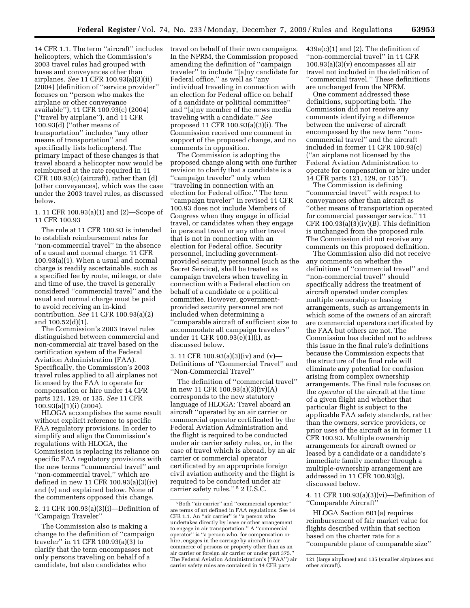14 CFR 1.1. The term ''aircraft'' includes helicopters, which the Commission's 2003 travel rules had grouped with buses and conveyances other than airplanes. *See* 11 CFR 100.93(a)(3)(ii) (2004) (definition of ''service provider'' focuses on ''person who makes the airplane or other conveyance available''), 11 CFR 100.93(c) (2004) (''travel by airplane''), and 11 CFR 100.93(d) (''other means of transportation'' includes ''any other means of transportation'' and specifically lists helicopters). The primary impact of these changes is that travel aboard a helicopter now would be reimbursed at the rate required in 11 CFR 100.93(c) (aircraft), rather than (d) (other conveyances), which was the case under the 2003 travel rules, as discussed below.

1. 11 CFR 100.93(a)(1) and (2)—Scope of 11 CFR 100.93

The rule at 11 CFR 100.93 is intended to establish reimbursement rates for ''non-commercial travel'' in the absence of a usual and normal charge. 11 CFR 100.93(a)(1). When a usual and normal charge is readily ascertainable, such as a specified fee by route, mileage, or date and time of use, the travel is generally considered ''commercial travel'' and the usual and normal charge must be paid to avoid receiving an in-kind contribution. *See* 11 CFR 100.93(a)(2) and 100.52(d)(1).

The Commission's 2003 travel rules distinguished between commercial and non-commercial air travel based on the certification system of the Federal Aviation Administration (FAA). Specifically, the Commission's 2003 travel rules applied to all airplanes not licensed by the FAA to operate for compensation or hire under 14 CFR parts 121, 129, or 135. *See* 11 CFR 100.93(a)(1)(i) (2004).

HLOGA accomplishes the same result without explicit reference to specific FAA regulatory provisions. In order to simplify and align the Commission's regulations with HLOGA, the Commission is replacing its reliance on specific FAA regulatory provisions with the new terms ''commercial travel'' and ''non-commercial travel,'' which are defined in new 11 CFR 100.93(a)(3)(iv) and (v) and explained below. None of the commenters opposed this change.

2. 11 CFR 100.93(a)(3)(i)—Definition of ''Campaign Traveler''

The Commission also is making a change to the definition of ''campaign traveler'' in 11 CFR 100.93(a)(3) to clarify that the term encompasses not only persons traveling on behalf of a candidate, but also candidates who

travel on behalf of their own campaigns. In the NPRM, the Commission proposed amending the definition of ''campaign traveler'' to include ''[a]ny candidate for Federal office,'' as well as ''any individual traveling in connection with an election for Federal office on behalf of a candidate or political committee'' and ''[a]ny member of the news media traveling with a candidate.'' *See*  proposed 11 CFR 100.93(a)(3)(i). The Commission received one comment in support of the proposed change, and no comments in opposition.

The Commission is adopting the proposed change along with one further revision to clarify that a candidate is a ''campaign traveler'' only when ''traveling in connection with an election for Federal office.'' The term ''campaign traveler'' in revised 11 CFR 100.93 does not include Members of Congress when they engage in official travel, or candidates when they engage in personal travel or any other travel that is not in connection with an election for Federal office. Security personnel, including governmentprovided security personnel (such as the Secret Service), shall be treated as campaign travelers when traveling in connection with a Federal election on behalf of a candidate or a political committee. However, governmentprovided security personnel are not included when determining a ''comparable aircraft of sufficient size to accommodate all campaign travelers'' under 11 CFR 100.93(e)(1)(i), as discussed below.

3. 11 CFR 100.93(a)(3)(iv) and (v)— Definitions of ''Commercial Travel'' and ''Non-Commercial Travel''

The definition of ''commercial travel'' in new 11 CFR 100.93(a)(3)(iv)(A) corresponds to the new statutory language of HLOGA: Travel aboard an aircraft ''operated by an air carrier or commercial operator certificated by the Federal Aviation Administration and the flight is required to be conducted under air carrier safety rules, or, in the case of travel which is abroad, by an air carrier or commercial operator certificated by an appropriate foreign civil aviation authority and the flight is required to be conducted under air carrier safety rules.'' 5 2 U.S.C.

 $439a(c)(1)$  and  $(2)$ . The definition of ''non-commercial travel'' in 11 CFR 100.93(a)(3)(v) encompasses all air travel not included in the definition of ''commercial travel.'' These definitions are unchanged from the NPRM.

One comment addressed these definitions, supporting both. The Commission did not receive any comments identifying a difference between the universe of aircraft encompassed by the new term ''noncommercial travel'' and the aircraft included in former 11 CFR 100.93(c) (''an airplane not licensed by the Federal Aviation Administration to operate for compensation or hire under 14 CFR parts 121, 129, or 135'').

The Commission is defining ''commercial travel'' with respect to conveyances other than aircraft as ''other means of transportation operated for commercial passenger service.'' 11 CFR  $100.93(a)(3)(iv)(B)$ . This definition is unchanged from the proposed rule. The Commission did not receive any comments on this proposed definition.

The Commission also did not receive any comments on whether the definitions of ''commercial travel'' and ''non-commercial travel'' should specifically address the treatment of aircraft operated under complex multiple ownership or leasing arrangements, such as arrangements in which some of the owners of an aircraft are commercial operators certificated by the FAA but others are not. The Commission has decided not to address this issue in the final rule's definitions because the Commission expects that the structure of the final rule will eliminate any potential for confusion arising from complex ownership arrangements. The final rule focuses on the *operator* of the aircraft at the time of a given flight and whether that particular flight is subject to the applicable FAA safety standards, rather than the owners, service providers, or prior uses of the aircraft as in former 11 CFR 100.93. Multiple ownership arrangements for aircraft owned or leased by a candidate or a candidate's immediate family member through a multiple-ownership arrangement are addressed in 11 CFR 100.93(g), discussed below.

4. 11 CFR 100.93(a)(3)(vi)—Definition of ''Comparable Aircraft''

HLOGA Section 601(a) requires reimbursement of fair market value for flights described within that section based on the charter rate for a ''comparable plane of comparable size''

<sup>5</sup>Both ''air carrier'' and ''commercial operator'' are terms of art defined in FAA regulations. See 14 CFR 1.1. An ''air carrier'' is ''a person who undertakes directly by lease or other arrangement to engage in air transportation.'' A ''commercial operator'' is ''a person who, for compensation or hire, engages in the carriage by aircraft in air commerce of persons or property other than as an air carrier or foreign air carrier or under part 375.'' The Federal Aviation Administration's (''FAA'') air carrier safety rules are contained in 14 CFR parts

<sup>121 (</sup>large airplanes) and 135 (smaller airplanes and other aircraft).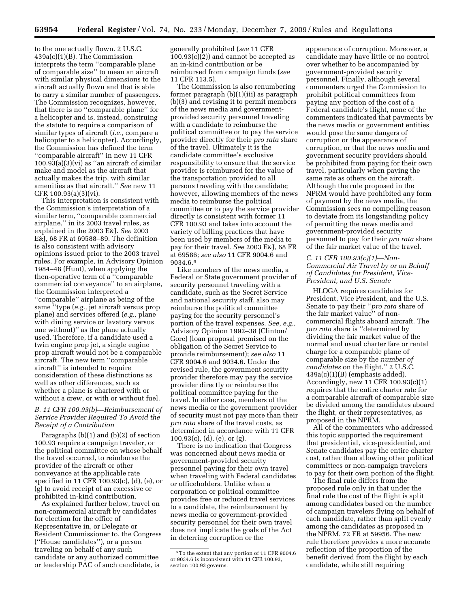to the one actually flown. 2 U.S.C. 439a(c)(1)(B). The Commission interprets the term ''comparable plane of comparable size'' to mean an aircraft with similar physical dimensions to the aircraft actually flown and that is able to carry a similar number of passengers. The Commission recognizes, however, that there is no ''comparable plane'' for a helicopter and is, instead, construing the statute to require a comparison of similar types of aircraft (*i.e.,* compare a helicopter to a helicopter). Accordingly, the Commission has defined the term ''comparable aircraft'' in new 11 CFR  $100.93(a)(3)(vi)$  as "an aircraft of similar make and model as the aircraft that actually makes the trip, with similar amenities as that aircraft.'' *See* new 11 CFR 100.93(a)(3)(vi).

This interpretation is consistent with the Commission's interpretation of a similar term, ''comparable commercial airplane,'' in its 2003 travel rules, as explained in the 2003 E&J. *See* 2003 E&J, 68 FR at 69588–89. The definition is also consistent with advisory opinions issued prior to the 2003 travel rules. For example, in Advisory Opinion 1984–48 (Hunt), when applying the then-operative term of a ''comparable commercial conveyance'' to an airplane, the Commission interpreted a ''comparable'' airplane as being of the same ''type (*e.g.,* jet aircraft versus prop plane) and services offered (*e.g.,* plane with dining service or lavatory versus one without)'' as the plane actually used. Therefore, if a candidate used a twin engine prop jet, a single engine prop aircraft would not be a comparable aircraft. The new term ''comparable aircraft'' is intended to require consideration of these distinctions as well as other differences, such as whether a plane is chartered with or without a crew, or with or without fuel.

# *B. 11 CFR 100.93(b)—Reimbursement of Service Provider Required To Avoid the Receipt of a Contribution*

Paragraphs (b)(1) and (b)(2) of section 100.93 require a campaign traveler, or the political committee on whose behalf the travel occurred, to reimburse the provider of the aircraft or other conveyance at the applicable rate specified in 11 CFR 100.93(c), (d), (e), or (g) to avoid receipt of an excessive or prohibited in-kind contribution.

As explained further below, travel on non-commercial aircraft by candidates for election for the office of Representative in, or Delegate or Resident Commissioner to, the Congress (''House candidates''), or a person traveling on behalf of any such candidate or any authorized committee or leadership PAC of such candidate, is

generally prohibited (*see* 11 CFR  $100.93(c)(2)$  and cannot be accepted as an in-kind contribution or be reimbursed from campaign funds (*see*  11 CFR 113.5).

The Commission is also renumbering former paragraph (b)(1)(iii) as paragraph (b)(3) and revising it to permit members of the news media and governmentprovided security personnel traveling with a candidate to reimburse the political committee or to pay the service provider directly for their *pro rata* share of the travel. Ultimately it is the candidate committee's exclusive responsibility to ensure that the service provider is reimbursed for the value of the transportation provided to all persons traveling with the candidate; however, allowing members of the news media to reimburse the political committee or to pay the service provider directly is consistent with former 11 CFR 100.93 and takes into account the variety of billing practices that have been used by members of the media to pay for their travel. *See* 2003 E&J, 68 FR at 69586; *see also* 11 CFR 9004.6 and 9034.6.6

Like members of the news media, a Federal or State government provider of security personnel traveling with a candidate, such as the Secret Service and national security staff, also may reimburse the political committee paying for the security personnel's portion of the travel expenses. *See, e.g.,*  Advisory Opinion 1992–38 (Clinton/ Gore) (loan proposal premised on the obligation of the Secret Service to provide reimbursement); *see also* 11 CFR 9004.6 and 9034.6. Under the revised rule, the government security provider therefore may pay the service provider directly or reimburse the political committee paying for the travel. In either case, members of the news media or the government provider of security must not pay more than their *pro rata* share of the travel costs, as determined in accordance with 11 CFR 100.93(c), (d), (e), or (g).

There is no indication that Congress was concerned about news media or government-provided security personnel paying for their own travel when traveling with Federal candidates or officeholders. Unlike when a corporation or political committee provides free or reduced travel services to a candidate, the reimbursement by news media or government-provided security personnel for their own travel does not implicate the goals of the Act in deterring corruption or the

appearance of corruption. Moreover, a candidate may have little or no control over whether to be accompanied by government-provided security personnel. Finally, although several commenters urged the Commission to prohibit political committees from paying any portion of the cost of a Federal candidate's flight, none of the commenters indicated that payments by the news media or government entities would pose the same dangers of corruption or the appearance of corruption, or that the news media and government security providers should be prohibited from paying for their own travel, particularly when paying the same rate as others on the aircraft. Although the rule proposed in the NPRM would have prohibited any form of payment by the news media, the Commission sees no compelling reason to deviate from its longstanding policy of permitting the news media and government-provided security personnel to pay for their *pro rata* share of the fair market value of the travel.

# *C. 11 CFR 100.93(c)(1)—Non-Commercial Air Travel by or on Behalf of Candidates for President, Vice-President, and U.S. Senate*

HLOGA requires candidates for President, Vice President, and the U.S. Senate to pay their ''*pro rata* share of the fair market value'' of noncommercial flights aboard aircraft. The *pro rata* share is ''determined by dividing the fair market value of the normal and usual charter fare or rental charge for a comparable plane of comparable size by the *number of candidates* on the flight.'' 2 U.S.C. 439a(c)(1)(B) (emphasis added). Accordingly, new 11 CFR 100.93(c)(1) requires that the entire charter rate for a comparable aircraft of comparable size be divided among the candidates aboard the flight, or their representatives, as proposed in the NPRM.

All of the commenters who addressed this topic supported the requirement that presidential, vice-presidential, and Senate candidates pay the entire charter cost, rather than allowing other political committees or non-campaign travelers to pay for their own portion of the flight.

The final rule differs from the proposed rule only in that under the final rule the cost of the flight is split among candidates based on the number of campaign travelers flying on behalf of each candidate, rather than split evenly among the candidates as proposed in the NPRM. 72 FR at 59956. The new rule therefore provides a more accurate reflection of the proportion of the benefit derived from the flight by each candidate, while still requiring

<sup>6</sup>To the extent that any portion of 11 CFR 9004.6 or 9034.6 is inconsistent with 11 CFR 100.93, section 100.93 governs.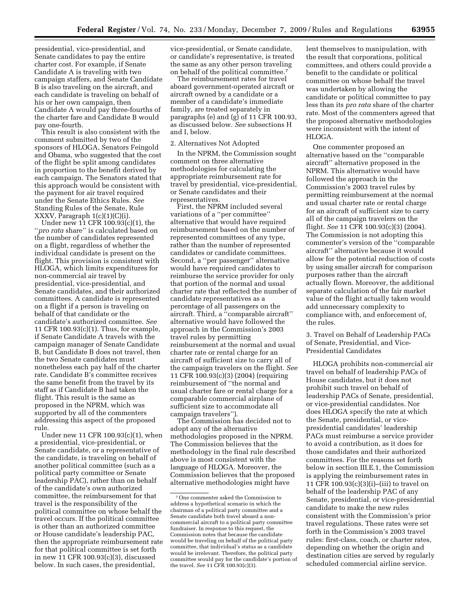presidential, vice-presidential, and Senate candidates to pay the entire charter cost. For example, if Senate Candidate A is traveling with two campaign staffers, and Senate Candidate B is also traveling on the aircraft, and each candidate is traveling on behalf of his or her own campaign, then Candidate A would pay three-fourths of the charter fare and Candidate B would pay one-fourth.

This result is also consistent with the comment submitted by two of the sponsors of HLOGA, Senators Feingold and Obama, who suggested that the cost of the flight be split among candidates in proportion to the benefit derived by each campaign. The Senators stated that this approach would be consistent with the payment for air travel required under the Senate Ethics Rules. *See*  Standing Rules of the Senate, Rule XXXV, Paragraph 1(c)(1)(C)(i).

Under new 11 CFR 100.93(c)(1), the ''*pro rata* share'' is calculated based on the number of candidates represented on a flight, regardless of whether the individual candidate is present on the flight. This provision is consistent with HLOGA, which limits expenditures for non-commercial air travel by presidential, vice-presidential, and Senate candidates, and their authorized committees. A candidate is represented on a flight if a person is traveling on behalf of that candidate or the candidate's authorized committee. *See*  11 CFR 100.93(c)(1). Thus, for example, if Senate Candidate A travels with the campaign manager of Senate Candidate B, but Candidate B does not travel, then the two Senate candidates must nonetheless each pay half of the charter rate. Candidate B's committee receives the same benefit from the travel by its staff as if Candidate B had taken the flight. This result is the same as proposed in the NPRM, which was supported by all of the commenters addressing this aspect of the proposed rule.

Under new 11 CFR 100.93(c)(1), when a presidential, vice-presidential, or Senate candidate, or a representative of the candidate, is traveling on behalf of another political committee (such as a political party committee or Senate leadership PAC), rather than on behalf of the candidate's own authorized committee, the reimbursement for that travel is the responsibility of the political committee on whose behalf the travel occurs. If the political committee is other than an authorized committee or House candidate's leadership PAC, then the appropriate reimbursement rate for that political committee is set forth in new 11 CFR 100.93(c)(3), discussed below. In such cases, the presidential,

vice-presidential, or Senate candidate, or candidate's representative, is treated the same as any other person traveling on behalf of the political committee.7

The reimbursement rates for travel aboard government-operated aircraft or aircraft owned by a candidate or a member of a candidate's immediate family, are treated separately in paragraphs (e) and (g) of 11 CFR 100.93, as discussed below. *See* subsections H and I, below.

#### 2. Alternatives Not Adopted

In the NPRM, the Commission sought comment on three alternative methodologies for calculating the appropriate reimbursement rate for travel by presidential, vice-presidential, or Senate candidates and their representatives.

First, the NPRM included several variations of a ''per committee'' alternative that would have required reimbursement based on the number of represented committees of any type, rather than the number of represented candidates or candidate committees. Second, a ''per passenger'' alternative would have required candidates to reimburse the service provider for only that portion of the normal and usual charter rate that reflected the number of candidate representatives as a percentage of all passengers on the aircraft. Third, a ''comparable aircraft'' alternative would have followed the approach in the Commission's 2003 travel rules by permitting reimbursement at the normal and usual charter rate or rental charge for an aircraft of sufficient size to carry all of the campaign travelers on the flight. *See*  11 CFR 100.93(c)(3) (2004) (requiring reimbursement of ''the normal and usual charter fare or rental charge for a comparable commercial airplane of sufficient size to accommodate all campaign travelers'').

The Commission has decided not to adopt any of the alternative methodologies proposed in the NPRM. The Commission believes that the methodology in the final rule described above is most consistent with the language of HLOGA. Moreover, the Commission believes that the proposed alternative methodologies might have

lent themselves to manipulation, with the result that corporations, political committees, and others could provide a benefit to the candidate or political committee on whose behalf the travel was undertaken by allowing the candidate or political committee to pay less than its *pro rata* share of the charter rate. Most of the commenters agreed that the proposed alternative methodologies were inconsistent with the intent of HLOGA.

One commenter proposed an alternative based on the ''comparable aircraft'' alternative proposed in the NPRM. This alternative would have followed the approach in the Commission's 2003 travel rules by permitting reimbursement at the normal and usual charter rate or rental charge for an aircraft of sufficient size to carry all of the campaign travelers on the flight. *See* 11 CFR 100.93(c)(3) (2004). The Commission is not adopting this commenter's version of the ''comparable aircraft'' alternative because it would allow for the potential reduction of costs by using smaller aircraft for comparison purposes rather than the aircraft actually flown. Moreover, the additional separate calculation of the fair market value of the flight actually taken would add unnecessary complexity to compliance with, and enforcement of, the rules.

3. Travel on Behalf of Leadership PACs of Senate, Presidential, and Vice-Presidential Candidates

HLOGA prohibits non-commercial air travel on behalf of leadership PACs of House candidates, but it does not prohibit such travel on behalf of leadership PACs of Senate, presidential, or vice-presidential candidates. Nor does HLOGA specify the rate at which the Senate, presidential, or vicepresidential candidates' leadership PACs must reimburse a service provider to avoid a contribution, as it does for those candidates and their authorized committees. For the reasons set forth below in section III.E.1, the Commission is applying the reimbursement rates in 11 CFR 100.93(c)(3)(i)–(iii) to travel on behalf of the leadership PAC of any Senate, presidential, or vice-presidential candidate to make the new rules consistent with the Commission's prior travel regulations. These rates were set forth in the Commission's 2003 travel rules: first-class, coach, or charter rates, depending on whether the origin and destination cities are served by regularly scheduled commercial airline service.

<sup>7</sup>One commenter asked the Commission to address a hypothetical scenario in which the chairman of a political party committee and a Senate candidate both travel aboard a noncommercial aircraft to a political party committee fundraiser. In response to this request, the Commission notes that because the candidate would be traveling on behalf of the political party committee, that individual's status as a candidate would be irrelevant. Therefore, the political party committee would pay for the candidate's portion of the travel. *See* 11 CFR 100.93(c)(3).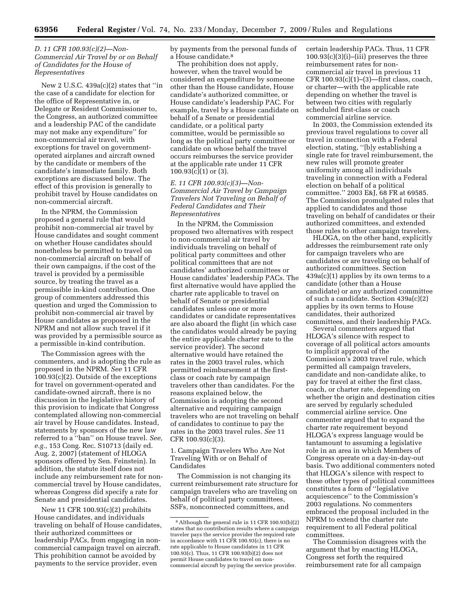# *D. 11 CFR 100.93(c)(2)—Non-Commercial Air Travel by or on Behalf of Candidates for the House of Representatives*

New 2 U.S.C. 439a(c)(2) states that ''in the case of a candidate for election for the office of Representative in, or Delegate or Resident Commissioner to, the Congress, an authorized committee and a leadership PAC of the candidate may not make any expenditure'' for non-commercial air travel, with exceptions for travel on governmentoperated airplanes and aircraft owned by the candidate or members of the candidate's immediate family. Both exceptions are discussed below. The effect of this provision is generally to prohibit travel by House candidates on non-commercial aircraft.

In the NPRM, the Commission proposed a general rule that would prohibit non-commercial air travel by House candidates and sought comment on whether House candidates should nonetheless be permitted to travel on non-commercial aircraft on behalf of their own campaigns, if the cost of the travel is provided by a permissible source, by treating the travel as a permissible in-kind contribution. One group of commenters addressed this question and urged the Commission to prohibit non-commercial air travel by House candidates as proposed in the NPRM and not allow such travel if it was provided by a permissible source as a permissible in-kind contribution.

The Commission agrees with the commenters, and is adopting the rule as proposed in the NPRM. *See* 11 CFR 100.93(c)(2). Outside of the exceptions for travel on government-operated and candidate-owned aircraft, there is no discussion in the legislative history of this provision to indicate that Congress contemplated allowing non-commercial air travel by House candidates. Instead, statements by sponsors of the new law referred to a ''ban'' on House travel. *See, e.g.,* 153 Cong. Rec. S10713 (daily ed. Aug. 2, 2007) (statement of HLOGA sponsors offered by Sen. Feinstein). In addition, the statute itself does not include any reimbursement rate for noncommercial travel by House candidates, whereas Congress did specify a rate for Senate and presidential candidates.

New 11 CFR 100.93(c)(2) prohibits House candidates, and individuals traveling on behalf of House candidates, their authorized committees or leadership PACs, from engaging in noncommercial campaign travel on aircraft. This prohibition cannot be avoided by payments to the service provider, even

by payments from the personal funds of a House candidate.8

The prohibition does not apply, however, when the travel would be considered an expenditure by someone other than the House candidate, House candidate's authorized committee, or House candidate's leadership PAC. For example, travel by a House candidate on behalf of a Senate or presidential candidate, or a political party committee, would be permissible so long as the political party committee or candidate on whose behalf the travel occurs reimburses the service provider at the applicable rate under 11 CFR 100.93(c)(1) or (3).

# *E. 11 CFR 100.93(c)(3)—Non-Commercial Air Travel by Campaign Travelers Not Traveling on Behalf of Federal Candidates and Their Representatives*

In the NPRM, the Commission proposed two alternatives with respect to non-commercial air travel by individuals traveling on behalf of political party committees and other political committees that are not candidates' authorized committees or House candidates' leadership PACs. The first alternative would have applied the charter rate applicable to travel on behalf of Senate or presidential candidates unless one or more candidates or candidate representatives are also aboard the flight (in which case the candidates would already be paying the entire applicable charter rate to the service provider). The second alternative would have retained the rates in the 2003 travel rules, which permitted reimbursement at the firstclass or coach rate by campaign travelers other than candidates. For the reasons explained below, the Commission is adopting the second alternative and requiring campaign travelers who are not traveling on behalf of candidates to continue to pay the rates in the 2003 travel rules. *See* 11 CFR 100.93(c)(3).

1. Campaign Travelers Who Are Not Traveling With or on Behalf of Candidates

The Commission is not changing its current reimbursement rate structure for campaign travelers who are traveling on behalf of political party committees, SSFs, nonconnected committees, and

certain leadership PACs. Thus, 11 CFR  $100.93(c)(3)(i)$ –(iii) preserves the three reimbursement rates for noncommercial air travel in previous 11 CFR 100.93(c)(1)–(3)—first class, coach, or charter—with the applicable rate depending on whether the travel is between two cities with regularly scheduled first-class or coach commercial airline service.

In 2003, the Commission extended its previous travel regulations to cover all travel in connection with a Federal election, stating, ''[b]y establishing a single rate for travel reimbursement, the new rules will promote greater uniformity among all individuals traveling in connection with a Federal election on behalf of a political committee.'' 2003 E&J, 68 FR at 69585. The Commission promulgated rules that applied to candidates and those traveling on behalf of candidates or their authorized committees, and extended those rules to other campaign travelers.

HLOGA, on the other hand, explicitly addresses the reimbursement rate only for campaign travelers who are candidates or are traveling on behalf of authorized committees. Section  $439a(c)(1)$  applies by its own terms to a candidate (other than a House candidate) or any authorized committee of such a candidate. Section 439a(c)(2) applies by its own terms to House candidates, their authorized committees, and their leadership PACs.

Several commenters argued that HLOGA's silence with respect to coverage of all political actors amounts to implicit approval of the Commission's 2003 travel rule, which permitted all campaign travelers, candidate and non-candidate alike, to pay for travel at either the first class, coach, or charter rate, depending on whether the origin and destination cities are served by regularly scheduled commercial airline service. One commenter argued that to expand the charter rate requirement beyond HLOGA's express language would be tantamount to assuming a legislative role in an area in which Members of Congress operate on a day-in-day-out basis. Two additional commenters noted that HLOGA's silence with respect to these other types of political committees constitutes a form of ''legislative acquiescence'' to the Commission's 2003 regulations. No commenters embraced the proposal included in the NPRM to extend the charter rate requirement to all Federal political committees.

The Commission disagrees with the argument that by enacting HLOGA, Congress set forth the required reimbursement rate for all campaign

<sup>8</sup>Although the general rule in 11 CFR 100.93(b)(2) states that no contribution results where a campaign traveler pays the service provider the required rate in accordance with 11 CFR 100.93(c), there is no rate applicable to House candidates in 11 CFR 100.93(c). Thus, 11 CFR 100.93(b)(2) does not permit House candidates to travel on noncommercial aircraft by paying the service provider.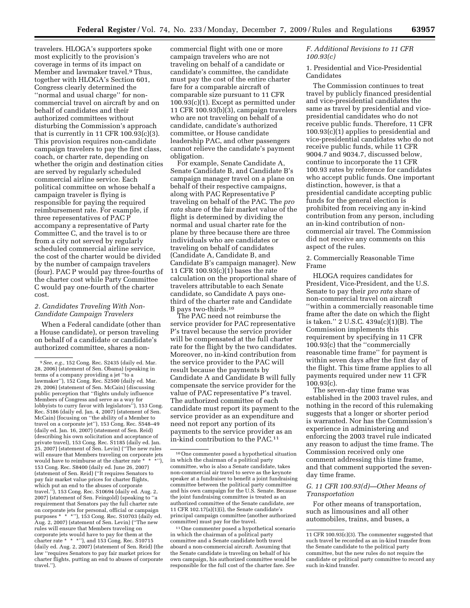travelers. HLOGA's supporters spoke most explicitly to the provision's coverage in terms of its impact on Member and lawmaker travel.9 Thus, together with HLOGA's Section 601, Congress clearly determined the ''normal and usual charge'' for noncommercial travel on aircraft by and on behalf of candidates and their authorized committees without disturbing the Commission's approach that is currently in 11 CFR  $100.93(c)(3)$ . This provision requires non-candidate campaign travelers to pay the first class, coach, or charter rate, depending on whether the origin and destination cities are served by regularly scheduled commercial airline service. Each political committee on whose behalf a campaign traveler is flying is responsible for paying the required reimbursement rate. For example, if three representatives of PAC P accompany a representative of Party Committee C, and the travel is to or from a city not served by regularly scheduled commercial airline service, the cost of the charter would be divided by the number of campaign travelers (four). PAC P would pay three-fourths of the charter cost while Party Committee C would pay one-fourth of the charter cost.

# *2. Candidates Traveling With Non-Candidate Campaign Travelers*

When a Federal candidate (other than a House candidate), or person traveling on behalf of a candidate or candidate's authorized committee, shares a non-

commercial flight with one or more campaign travelers who are not traveling on behalf of a candidate or candidate's committee, the candidate must pay the cost of the entire charter fare for a comparable aircraft of comparable size pursuant to 11 CFR 100.93(c)(1). Except as permitted under 11 CFR 100.93(b)(3), campaign travelers who are not traveling on behalf of a candidate, candidate's authorized committee, or House candidate leadership PAC, and other passengers cannot relieve the candidate's payment obligation.

For example, Senate Candidate A, Senate Candidate B, and Candidate B's campaign manager travel on a plane on behalf of their respective campaigns, along with PAC Representative P traveling on behalf of the PAC. The *pro rata* share of the fair market value of the flight is determined by dividing the normal and usual charter rate for the plane by three because there are three individuals who are candidates or traveling on behalf of candidates (Candidate A, Candidate B, and Candidate B's campaign manager). New 11 CFR 100.93(c)(1) bases the rate calculation on the proportional share of travelers attributable to each Senate candidate, so Candidate A pays onethird of the charter rate and Candidate B pays two-thirds.10

The PAC need not reimburse the service provider for PAC representative P's travel because the service provider will be compensated at the full charter rate for the flight by the two candidates. Moreover, no in-kind contribution from the service provider to the PAC will result because the payments by Candidate A and Candidate B will fully compensate the service provider for the value of PAC representative P's travel. The authorized committee of each candidate must report its payment to the service provider as an expenditure and need not report any portion of its payments to the service provider as an in-kind contribution to the PAC.11

11One commenter posed a hypothetical scenario in which the chairman of a political party committee and a Senate candidate both travel aboard a non-commercial aircraft. Assuming that the Senate candidate is traveling on behalf of his own campaign, his authorized committee would be responsible for the full cost of the charter fare. *See* 

# *F. Additional Revisions to 11 CFR 100.93(c)*

1. Presidential and Vice-Presidential Candidates

The Commission continues to treat travel by publicly financed presidential and vice-presidential candidates the same as travel by presidential and vicepresidential candidates who do not receive public funds. Therefore, 11 CFR 100.93(c)(1) applies to presidential and vice-presidential candidates who do not receive public funds, while 11 CFR 9004.7 and 9034.7, discussed below, continue to incorporate the 11 CFR 100.93 rates by reference for candidates who accept public funds. One important distinction, however, is that a presidential candidate accepting public funds for the general election is prohibited from receiving any in-kind contribution from any person, including an in-kind contribution of noncommercial air travel. The Commission did not receive any comments on this aspect of the rules.

2. Commercially Reasonable Time Frame

HLOGA requires candidates for President, Vice-President, and the U.S. Senate to pay their *pro rata* share of non-commercial travel on aircraft ''within a commercially reasonable time frame after the date on which the flight is taken.'' 2 U.S.C. 439a(c)(1)(B). The Commission implements this requirement by specifying in 11 CFR 100.93(c) that the ''commercially reasonable time frame'' for payment is within seven days after the first day of the flight. This time frame applies to all payments required under new 11 CFR 100.93(c).

The seven-day time frame was established in the 2003 travel rules, and nothing in the record of this rulemaking suggests that a longer or shorter period is warranted. Nor has the Commission's experience in administering and enforcing the 2003 travel rule indicated any reason to adjust the time frame. The Commission received only one comment addressing this time frame, and that comment supported the sevenday time frame.

# *G. 11 CFR 100.93(d)—Other Means of Transportation*

For other means of transportation, such as limousines and all other automobiles, trains, and buses, a

<sup>9</sup>*See, e.g.,* 152 Cong. Rec. S2435 (daily ed. Mar. 28, 2006) (statement of Sen. Obama) (speaking in terms of a company providing a jet ''to a lawmaker''), 152 Cong. Rec. S2500 (daily ed. Mar. 29, 2006) (statement of Sen. McCain) (discussing public perception that ''flights unduly influence Members of Congress and serve as a way for lobbyists to curry favor with legislators"), 153 Cong. Rec. S186 (daily ed. Jan. 4, 2007) (statement of Sen. McCain) (focusing on ''the ability of a Member to travel on a corporate jet''), 153 Cong. Rec. S548–49 (daily ed. Jan. 16, 2007) (statement of Sen. Reid) (describing his own solicitation and acceptance of private travel), 153 Cong. Rec. S1185 (daily ed. Jan. 25, 2007) (statement of Sen. Levin) (''The new rules will ensure that Members traveling on corporate jets would have to reimburse at the charter rate \* \* \*''), 153 Cong. Rec. S8400 (daily ed. June 26, 2007) (statement of Sen. Reid) (''It requires Senators to pay fair market value prices for charter flights, which put an end to the abuses of corporate travel.''), 153 Cong. Rec. S10694 (daily ed. Aug. 2, 2007) (statement of Sen. Feingold) (speaking to ''a requirement that Senators pay the full charter rate on corporate jets for personal, official or campaign purposes \* \* \*''), 153 Cong. Rec. S10703 (daily ed. Aug. 2, 2007) (statement of Sen. Levin) (''The new rules will ensure that Members traveling on corporate jets would have to pay for them at the charter rate \* \* \*"), and 153 Cong. Rec. S10715 (daily ed. Aug. 2, 2007) (statement of Sen. Reid) (the law ''requires Senators to pay fair market prices for charter flights, putting an end to abuses of corporate travel.'').

<sup>10</sup>One commenter posed a hypothetical situation in which the chairman of a political party committee, who is also a Senate candidate, takes non-commercial air travel to serve as the keynote speaker at a fundraiser to benefit a joint fundraising committee between the political party committee and his own campaign for the U.S. Senate. Because the joint fundraising committee is treated as an authorized committee of the Senate candidate, *see*  11 CFR 102.17(a)(1)(i), the Senate candidate's principal campaign committee (another authorized committee) must pay for the travel.

<sup>11</sup> CFR 100.93(c)(3). The commenter suggested that such travel be recorded as an in-kind transfer from the Senate candidate to the political party committee, but the new rules do not require the candidate or political party committee to record any such in-kind transfer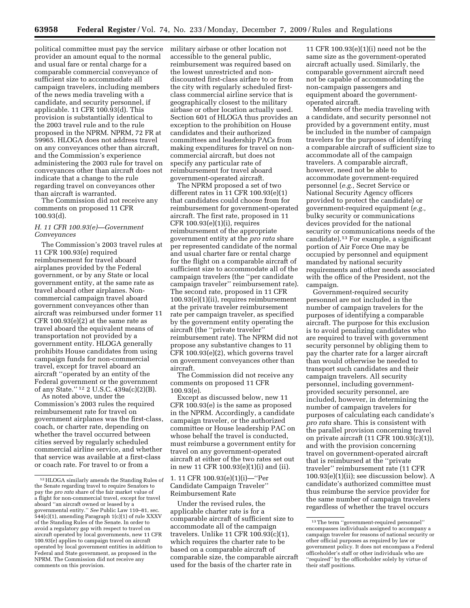political committee must pay the service provider an amount equal to the normal and usual fare or rental charge for a comparable commercial conveyance of sufficient size to accommodate all campaign travelers, including members of the news media traveling with a candidate, and security personnel, if applicable. 11 CFR 100.93(d). This provision is substantially identical to the 2003 travel rule and to the rule proposed in the NPRM. NPRM, 72 FR at 59965. HLOGA does not address travel on any conveyances other than aircraft, and the Commission's experience administering the 2003 rule for travel on conveyances other than aircraft does not indicate that a change to the rule regarding travel on conveyances other than aircraft is warranted.

The Commission did not receive any comments on proposed 11 CFR 100.93(d).

# *H. 11 CFR 100.93(e)—Government Conveyances*

The Commission's 2003 travel rules at 11 CFR 100.93(e) required reimbursement for travel aboard airplanes provided by the Federal government, or by any State or local government entity, at the same rate as travel aboard other airplanes. Noncommercial campaign travel aboard government conveyances other than aircraft was reimbursed under former 11 CFR  $100.93(e)(2)$  at the same rate as travel aboard the equivalent means of transportation not provided by a government entity. HLOGA generally prohibits House candidates from using campaign funds for non-commercial travel, except for travel aboard an aircraft ''operated by an entity of the Federal government or the government of any State.'' 12 2 U.S.C. 439a(c)(2)(B).

As noted above, under the Commission's 2003 rules the required reimbursement rate for travel on government airplanes was the first-class, coach, or charter rate, depending on whether the travel occurred between cities served by regularly scheduled commercial airline service, and whether that service was available at a first-class or coach rate. For travel to or from a

military airbase or other location not accessible to the general public, reimbursement was required based on the lowest unrestricted and nondiscounted first-class airfare to or from the city with regularly scheduled firstclass commercial airline service that is geographically closest to the military airbase or other location actually used. Section 601 of HLOGA thus provides an exception to the prohibition on House candidates and their authorized committees and leadership PACs from making expenditures for travel on noncommercial aircraft, but does not specify any particular rate of reimbursement for travel aboard government-operated aircraft.

The NPRM proposed a set of two different rates in 11 CFR 100.93(e)(1) that candidates could choose from for reimbursement for government-operated aircraft. The first rate, proposed in 11 CFR 100.93(e)(1)(i), requires reimbursement of the appropriate government entity at the *pro rata* share per represented candidate of the normal and usual charter fare or rental charge for the flight on a comparable aircraft of sufficient size to accommodate all of the campaign travelers (the ''per candidate campaign traveler'' reimbursement rate). The second rate, proposed in 11 CFR 100.93(e)(1)(ii), requires reimbursement at the private traveler reimbursement rate per campaign traveler, as specified by the government entity operating the aircraft (the ''private traveler'' reimbursement rate). The NPRM did not propose any substantive changes to 11 CFR 100.93(e)(2), which governs travel on government conveyances other than aircraft.

The Commission did not receive any comments on proposed 11 CFR 100.93(e).

Except as discussed below, new 11 CFR 100.93(e) is the same as proposed in the NPRM. Accordingly, a candidate campaign traveler, or the authorized committee or House leadership PAC on whose behalf the travel is conducted, must reimburse a government entity for travel on any government-operated aircraft at either of the two rates set out in new 11 CFR 100.93(e)(1)(i) and (ii).

# 1. 11 CFR 100.93(e)(1)(i)—''Per Candidate Campaign Traveler'' Reimbursement Rate

Under the revised rules, the applicable charter rate is for a comparable aircraft of sufficient size to accommodate all of the campaign travelers. Unlike 11 CFR 100.93(c)(1), which requires the charter rate to be based on a comparable aircraft of comparable size, the comparable aircraft used for the basis of the charter rate in

11 CFR 100.93(e)(1)(i) need not be the same size as the government-operated aircraft actually used. Similarly, the comparable government aircraft need not be capable of accommodating the non-campaign passengers and equipment aboard the governmentoperated aircraft.

Members of the media traveling with a candidate, and security personnel not provided by a government entity, must be included in the number of campaign travelers for the purposes of identifying a comparable aircraft of sufficient size to accommodate all of the campaign travelers. A comparable aircraft, however, need not be able to accommodate government-required personnel (*e.g.,* Secret Service or National Security Agency officers provided to protect the candidate) or government-required equipment (*e.g.,*  bulky security or communications devices provided for the national security or communications needs of the candidate).13 For example, a significant portion of Air Force One may be occupied by personnel and equipment mandated by national security requirements and other needs associated with the office of the President, not the campaign.

Government-required security personnel are not included in the number of campaign travelers for the purposes of identifying a comparable aircraft. The purpose for this exclusion is to avoid penalizing candidates who are required to travel with government security personnel by obliging them to pay the charter rate for a larger aircraft than would otherwise be needed to transport such candidates and their campaign travelers. All security personnel, including governmentprovided security personnel, are included, however, in determining the number of campaign travelers for purposes of calculating each candidate's *pro rata* share. This is consistent with the parallel provision concerning travel on private aircraft (11 CFR 100.93(c)(1)), and with the provision concerning travel on government-operated aircraft that is reimbursed at the ''private traveler'' reimbursement rate (11 CFR 100.93(e)(1)(ii); see discussion below). A candidate's authorized committee must thus reimburse the service provider for the same number of campaign travelers regardless of whether the travel occurs

<sup>12</sup>HLOGA similarly amends the Standing Rules of the Senate regarding travel to require Senators to pay the *pro rata* share of the fair market value of a flight for non-commercial travel, except for travel aboard ''an aircraft owned or leased by a governmental entity.'' *See* Public Law 110–81, sec.  $544(c)(1)$ , amending Paragraph 1(c)(1) of rule XXXV of the Standing Rules of the Senate. In order to avoid a regulatory gap with respect to travel on aircraft operated by local governments, new 11 CFR 100.93(e) applies to campaign travel on aircraft operated by local government entities in addition to Federal and State government, as proposed in the NPRM. The Commission did not receive any comments on this provision.

<sup>13</sup>The term ''government-required personnel'' encompasses individuals assigned to accompany a campaign traveler for reasons of national security or other official purposes as required by law or government policy. It does not encompass a Federal officeholder's staff or other individuals who are ''required'' by the officeholder solely by virtue of their staff positions.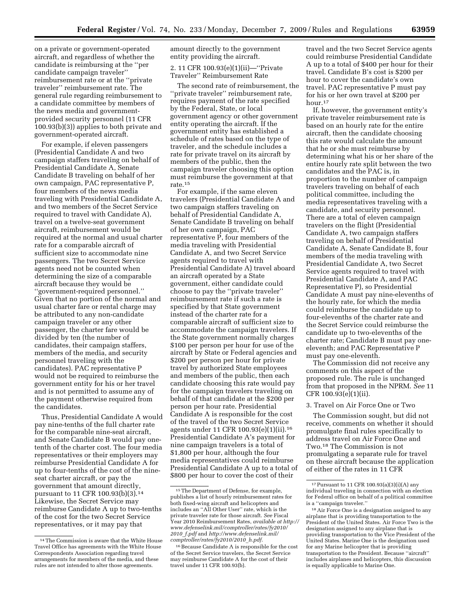on a private or government-operated aircraft, and regardless of whether the candidate is reimbursing at the ''per candidate campaign traveler'' reimbursement rate or at the ''private traveler'' reimbursement rate. The general rule regarding reimbursement to a candidate committee by members of the news media and governmentprovided security personnel (11 CFR 100.93(b)(3)) applies to both private and government-operated aircraft.

For example, if eleven passengers (Presidential Candidate A and two campaign staffers traveling on behalf of Presidential Candidate A, Senate Candidate B traveling on behalf of her own campaign, PAC representative P, four members of the news media traveling with Presidential Candidate A, and two members of the Secret Service required to travel with Candidate A), travel on a twelve-seat government aircraft, reimbursement would be required at the normal and usual charter rate for a comparable aircraft of sufficient size to accommodate nine passengers. The two Secret Service agents need not be counted when determining the size of a comparable aircraft because they would be ''government-required personnel.'' Given that no portion of the normal and usual charter fare or rental charge may be attributed to any non-candidate campaign traveler or any other passenger, the charter fare would be divided by ten (the number of candidates, their campaign staffers, members of the media, and security personnel traveling with the candidates). PAC representative P would not be required to reimburse the government entity for his or her travel and is not permitted to assume any of the payment otherwise required from the candidates.

Thus, Presidential Candidate A would pay nine-tenths of the full charter rate for the comparable nine-seat aircraft, and Senate Candidate B would pay onetenth of the charter cost. The four media representatives or their employers may reimburse Presidential Candidate A for up to four-tenths of the cost of the nineseat charter aircraft, or pay the government that amount directly, pursuant to 11 CFR 100.93(b)(3).<sup>14</sup> Likewise, the Secret Service may reimburse Candidate A up to two-tenths of the cost for the two Secret Service representatives, or it may pay that

amount directly to the government entity providing the aircraft.

2. 11 CFR 100.93(e)(1)(ii)—''Private Traveler'' Reimbursement Rate

The second rate of reimbursement, the ''private traveler'' reimbursement rate, requires payment of the rate specified by the Federal, State, or local government agency or other government entity operating the aircraft. If the government entity has established a schedule of rates based on the type of traveler, and the schedule includes a rate for private travel on its aircraft by members of the public, then the campaign traveler choosing this option must reimburse the government at that rate.15

For example, if the same eleven travelers (Presidential Candidate A and two campaign staffers traveling on behalf of Presidential Candidate A, Senate Candidate B traveling on behalf of her own campaign, PAC representative P, four members of the media traveling with Presidential Candidate A, and two Secret Service agents required to travel with Presidential Candidate A) travel aboard an aircraft operated by a State government, either candidate could choose to pay the ''private traveler'' reimbursement rate if such a rate is specified by that State government instead of the charter rate for a comparable aircraft of sufficient size to accommodate the campaign travelers. If the State government normally charges \$100 per person per hour for use of the aircraft by State or Federal agencies and \$200 per person per hour for private travel by authorized State employees and members of the public, then each candidate choosing this rate would pay for the campaign travelers traveling on behalf of that candidate at the \$200 per person per hour rate. Presidential Candidate A is responsible for the cost of the travel of the two Secret Service agents under 11 CFR 100.93(e)(1)(ii).16 Presidential Candidate A's payment for nine campaign travelers is a total of \$1,800 per hour, although the four media representatives could reimburse Presidential Candidate A up to a total of \$800 per hour to cover the cost of their

travel and the two Secret Service agents could reimburse Presidential Candidate A up to a total of \$400 per hour for their travel. Candidate B's cost is \$200 per hour to cover the candidate's own travel. PAC representative P must pay for his or her own travel at \$200 per hour.17

If, however, the government entity's private traveler reimbursement rate is based on an hourly rate for the entire aircraft, then the candidate choosing this rate would calculate the amount that he or she must reimburse by determining what his or her share of the entire hourly rate split between the two candidates and the PAC is, in proportion to the number of campaign travelers traveling on behalf of each political committee, including the media representatives traveling with a candidate, and security personnel. There are a total of eleven campaign travelers on the flight (Presidential Candidate A, two campaign staffers traveling on behalf of Presidential Candidate A, Senate Candidate B, four members of the media traveling with Presidential Candidate A, two Secret Service agents required to travel with Presidential Candidate A, and PAC Representative P), so Presidential Candidate A must pay nine-elevenths of the hourly rate, for which the media could reimburse the candidate up to four-elevenths of the charter rate and the Secret Service could reimburse the candidate up to two-elevenths of the charter rate; Candidate B must pay oneeleventh; and PAC Representative P must pay one-eleventh.

The Commission did not receive any comments on this aspect of the proposed rule. The rule is unchanged from that proposed in the NPRM. *See* 11 CFR 100.93(e)(1)(ii).

## 3. Travel on Air Force One or Two

The Commission sought, but did not receive, comments on whether it should promulgate final rules specifically to address travel on Air Force One and Two.18 The Commission is not promulgating a separate rule for travel on these aircraft because the application of either of the rates in 11 CFR

<sup>14</sup>The Commission is aware that the White House Travel Office has agreements with the White House Correspondents Association regarding travel arrangements for members of the media, and these rules are not intended to alter those agreements.

<sup>15</sup>The Department of Defense, for example, publishes a list of hourly reimbursement rates for both fixed-wing aircraft and helicopters and includes an ''All Other User'' rate, which is the private traveler rate for those aircraft. *See* Fiscal Year 2010 Reimbursement Rates, *available at http:// [www.defenselink.mil/comptroller/rates/fy2010/](http://www.defenselink.mil/comptroller/rates/fy2010/ 2010_f.pdf)  2010*\_*[f.pdf](http://www.defenselink.mil/comptroller/rates/fy2010/ 2010_f.pdf)* and *[http://www.defenselink.mil/](http://www.defenselink.mil/ comptroller/rates/fy2010/2010_h.pdf) [comptroller/rates/fy2010/2010](http://www.defenselink.mil/ comptroller/rates/fy2010/2010_h.pdf)*\_*h.pdf.* 

<sup>16</sup>Because Candidate A is responsible for the cost of the Secret Service travelers, the Secret Service may reimburse Candidate A for the cost of their travel under 11 CFR 100.93(b).

<sup>17</sup>Pursuant to 11 CFR 100.93(a)(3)(i)(A) any individual traveling in connection with an election for Federal office on behalf of a political committee is a ''campaign traveler.''

<sup>18</sup>Air Force One is a designation assigned to any airplane that is providing transportation to the President of the United States. Air Force Two is the designation assigned to any airplane that is providing transportation to the Vice President of the United States. Marine One is the designation used for any Marine helicopter that is providing transportation to the President. Because ''aircraft'' includes airplanes and helicopters, this discussion is equally applicable to Marine One.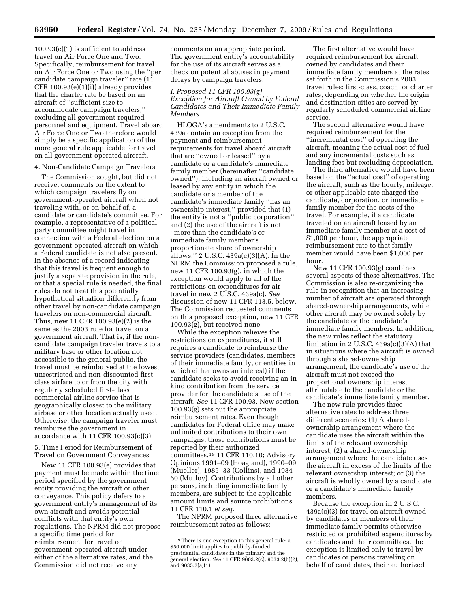100.93(e)(1) is sufficient to address travel on Air Force One and Two. Specifically, reimbursement for travel on Air Force One or Two using the ''per candidate campaign traveler" rate (11 CFR 100.93(e)(1)(i)) already provides that the charter rate be based on an aircraft of ''sufficient size to accommodate campaign travelers,'' excluding all government-required personnel and equipment. Travel aboard Air Force One or Two therefore would simply be a specific application of the more general rule applicable for travel on all government-operated aircraft.

#### 4. Non-Candidate Campaign Travelers

The Commission sought, but did not receive, comments on the extent to which campaign travelers fly on government-operated aircraft when not traveling with, or on behalf of, a candidate or candidate's committee. For example, a representative of a political party committee might travel in connection with a Federal election on a government-operated aircraft on which a Federal candidate is not also present. In the absence of a record indicating that this travel is frequent enough to justify a separate provision in the rule, or that a special rule is needed, the final rules do not treat this potentially hypothetical situation differently from other travel by non-candidate campaign travelers on non-commercial aircraft. Thus, new 11 CFR 100.93(e)(2) is the same as the 2003 rule for travel on a government aircraft. That is, if the noncandidate campaign traveler travels to a military base or other location not accessible to the general public, the travel must be reimbursed at the lowest unrestricted and non-discounted firstclass airfare to or from the city with regularly scheduled first-class commercial airline service that is geographically closest to the military airbase or other location actually used. Otherwise, the campaign traveler must reimburse the government in accordance with 11 CFR 100.93(c)(3).

5. Time Period for Reimbursement of Travel on Government Conveyances

New 11 CFR 100.93(e) provides that payment must be made within the time period specified by the government entity providing the aircraft or other conveyance. This policy defers to a government entity's management of its own aircraft and avoids potential conflicts with that entity's own regulations. The NPRM did not propose a specific time period for reimbursement for travel on government-operated aircraft under either of the alternative rates, and the Commission did not receive any

comments on an appropriate period. The government entity's accountability for the use of its aircraft serves as a check on potential abuses in payment delays by campaign travelers.

*I. Proposed 11 CFR 100.93(g)— Exception for Aircraft Owned by Federal Candidates and Their Immediate Family Members* 

HLOGA's amendments to 2 U.S.C. 439a contain an exception from the payment and reimbursement requirements for travel aboard aircraft that are ''owned or leased'' by a candidate or a candidate's immediate family member (hereinafter ''candidate owned''), including an aircraft owned or leased by any entity in which the candidate or a member of the candidate's immediate family ''has an ownership interest,'' provided that (1) the entity is not a ''public corporation'' and (2) the use of the aircraft is not ''more than the candidate's or immediate family member's proportionate share of ownership allows.'' 2 U.S.C. 439a(c)(3)(A). In the NPRM the Commission proposed a rule, new 11 CFR 100.93(g), in which the exception would apply to all of the restrictions on expenditures for air travel in new 2 U.S.C. 439a(c). *See*  discussion of new 11 CFR 113.5, below. The Commission requested comments on this proposed exception, new 11 CFR 100.93(g), but received none.

While the exception relieves the restrictions on expenditures, it still requires a candidate to reimburse the service providers (candidates, members of their immediate family, or entities in which either owns an interest) if the candidate seeks to avoid receiving an inkind contribution from the service provider for the candidate's use of the aircraft. *See* 11 CFR 100.93. New section 100.93(g) sets out the appropriate reimbursement rates. Even though candidates for Federal office may make unlimited contributions to their own campaigns, those contributions must be reported by their authorized committees.19 11 CFR 110.10; Advisory Opinions 1991–09 (Hoagland), 1990–09 (Mueller), 1985–33 (Collins), and 1984– 60 (Mulloy). Contributions by all other persons, including immediate family members, are subject to the applicable amount limits and source prohibitions. 11 CFR 110.1 *et seq.* 

The NPRM proposed three alternative reimbursement rates as follows:

The first alternative would have required reimbursement for aircraft owned by candidates and their immediate family members at the rates set forth in the Commission's 2003 travel rules: first-class, coach, or charter rates, depending on whether the origin and destination cities are served by regularly scheduled commercial airline service.

The second alternative would have required reimbursement for the ''incremental cost'' of operating the aircraft, meaning the actual cost of fuel and any incremental costs such as landing fees but excluding depreciation.

The third alternative would have been based on the ''actual cost'' of operating the aircraft, such as the hourly, mileage, or other applicable rate charged the candidate, corporation, or immediate family member for the costs of the travel. For example, if a candidate traveled on an aircraft leased by an immediate family member at a cost of \$1,000 per hour, the appropriate reimbursement rate to that family member would have been \$1,000 per hour.

New 11 CFR 100.93(g) combines several aspects of these alternatives. The Commission is also re-organizing the rule in recognition that an increasing number of aircraft are operated through shared-ownership arrangements, while other aircraft may be owned solely by the candidate or the candidate's immediate family members. In addition, the new rules reflect the statutory limitation in 2 U.S.C.  $439a(c)(3)(A)$  that in situations where the aircraft is owned through a shared-ownership arrangement, the candidate's use of the aircraft must not exceed the proportional ownership interest attributable to the candidate or the candidate's immediate family member.

The new rule provides three alternative rates to address three different scenarios: (1) A sharedownership arrangement where the candidate uses the aircraft within the limits of the relevant ownership interest; (2) a shared-ownership arrangement where the candidate uses the aircraft in excess of the limits of the relevant ownership interest; or (3) the aircraft is wholly owned by a candidate or a candidate's immediate family members.

Because the exception in 2 U.S.C. 439a(c)(3) for travel on aircraft owned by candidates or members of their immediate family permits otherwise restricted or prohibited expenditures by candidates and their committees, the exception is limited only to travel by candidates or persons traveling on behalf of candidates, their authorized

<sup>19</sup>There is one exception to this general rule: a \$50,000 limit applies to publicly-funded presidential candidates in the primary and the general election. *See* 11 CFR 9003.2(c), 9033.2(b)(2), and 9035.2(a)(1).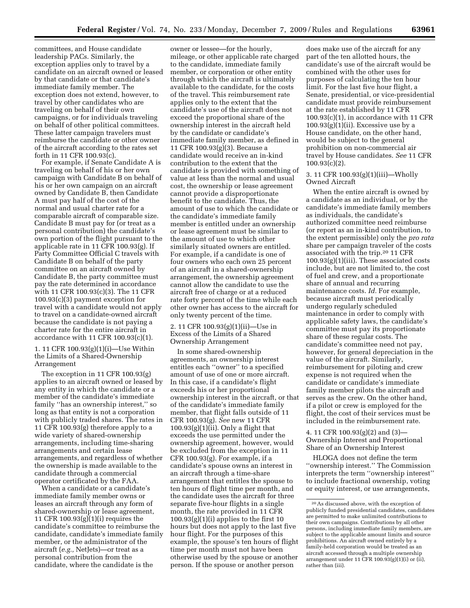committees, and House candidate leadership PACs. Similarly, the exception applies only to travel by a candidate on an aircraft owned or leased by that candidate or that candidate's immediate family member. The exception does not extend, however, to travel by other candidates who are traveling on behalf of their own campaigns, or for individuals traveling on behalf of other political committees. These latter campaign travelers must reimburse the candidate or other owner of the aircraft according to the rates set forth in 11 CFR 100.93(c).

For example, if Senate Candidate A is traveling on behalf of his or her own campaign with Candidate B on behalf of his or her own campaign on an aircraft owned by Candidate B, then Candidate A must pay half of the cost of the normal and usual charter rate for a comparable aircraft of comparable size. Candidate B must pay for (or treat as a personal contribution) the candidate's own portion of the flight pursuant to the applicable rate in 11 CFR 100.93(g). If Party Committee Official C travels with Candidate B on behalf of the party committee on an aircraft owned by Candidate B, the party committee must pay the rate determined in accordance with 11 CFR 100.93(c)(3). The 11 CFR 100.93(c)(3) payment exception for travel with a candidate would not apply to travel on a candidate-owned aircraft because the candidate is not paying a charter rate for the entire aircraft in accordance with 11 CFR 100.93(c)(1).

# 1. 11 CFR 100.93(g)(1)(i)—Use Within the Limits of a Shared-Ownership Arrangement

The exception in 11 CFR 100.93(g) applies to an aircraft owned or leased by any entity in which the candidate or a member of the candidate's immediate family ''has an ownership interest,'' so long as that entity is not a corporation with publicly traded shares. The rates in 11 CFR 100.93(g) therefore apply to a wide variety of shared-ownership arrangements, including time-sharing arrangements and certain lease arrangements, and regardless of whether the ownership is made available to the candidate through a commercial operator certificated by the FAA.

When a candidate or a candidate's immediate family member owns or leases an aircraft through any form of shared-ownership or lease agreement, 11 CFR 100.93(g)(1)(i) requires the candidate's committee to reimburse the candidate, candidate's immediate family member, or the administrator of the aircraft (*e.g.,* NetJets)—or treat as a personal contribution from the candidate, where the candidate is the

owner or lessee—for the hourly, mileage, or other applicable rate charged to the candidate, immediate family member, or corporation or other entity through which the aircraft is ultimately available to the candidate, for the costs of the travel. This reimbursement rate applies only to the extent that the candidate's use of the aircraft does not exceed the proportional share of the ownership interest in the aircraft held by the candidate or candidate's immediate family member, as defined in 11 CFR 100.93(g)(3). Because a candidate would receive an in-kind contribution to the extent that the candidate is provided with something of value at less than the normal and usual cost, the ownership or lease agreement cannot provide a disproportionate benefit to the candidate. Thus, the amount of use to which the candidate or the candidate's immediate family member is entitled under an ownership or lease agreement must be similar to the amount of use to which other similarly situated owners are entitled. For example, if a candidate is one of four owners who each own 25 percent of an aircraft in a shared-ownership arrangement, the ownership agreement cannot allow the candidate to use the aircraft free of charge or at a reduced rate forty percent of the time while each other owner has access to the aircraft for only twenty percent of the time.

# 2. 11 CFR 100.93(g)(1)(ii)—Use in Excess of the Limits of a Shared Ownership Arrangement

In some shared-ownership agreements, an ownership interest entitles each ''owner'' to a specified amount of use of one or more aircraft. In this case, if a candidate's flight exceeds his or her proportional ownership interest in the aircraft, or that of the candidate's immediate family member, that flight falls outside of 11 CFR 100.93(g). *See* new 11 CFR  $100.93(g)(1)(ii)$ . Only a flight that exceeds the use permitted under the ownership agreement, however, would be excluded from the exception in 11 CFR 100.93(g). For example, if a candidate's spouse owns an interest in an aircraft through a time-share arrangement that entitles the spouse to ten hours of flight time per month, and the candidate uses the aircraft for three separate five-hour flights in a single month, the rate provided in 11 CFR  $100.93(g)(1)(i)$  applies to the first 10 hours but does not apply to the last five hour flight. For the purposes of this example, the spouse's ten hours of flight time per month must not have been otherwise used by the spouse or another person. If the spouse or another person

does make use of the aircraft for any part of the ten allotted hours, the candidate's use of the aircraft would be combined with the other uses for purposes of calculating the ten hour limit. For the last five hour flight, a Senate, presidential, or vice-presidential candidate must provide reimbursement at the rate established by 11 CFR  $100.93(c)(1)$ , in accordance with 11 CFR  $100.93(g)(1)(ii)$ . Excessive use by a House candidate, on the other hand, would be subject to the general prohibition on non-commercial air travel by House candidates. *See* 11 CFR  $100.93(c)(2)$ .

3. 11 CFR 100.93(g)(1)(iii)—Wholly Owned Aircraft

When the entire aircraft is owned by a candidate as an individual, or by the candidate's immediate family members as individuals, the candidate's authorized committee need reimburse (or report as an in-kind contribution, to the extent permissible) only the *pro rata*  share per campaign traveler of the costs associated with the trip.20 11 CFR 100.93(g)(1)(iii). These associated costs include, but are not limited to, the cost of fuel and crew, and a proportionate share of annual and recurring maintenance costs. *Id.* For example, because aircraft must periodically undergo regularly scheduled maintenance in order to comply with applicable safety laws, the candidate's committee must pay its proportionate share of these regular costs. The candidate's committee need not pay, however, for general depreciation in the value of the aircraft. Similarly, reimbursement for piloting and crew expense is not required when the candidate or candidate's immediate family member pilots the aircraft and serves as the crew. On the other hand, if a pilot or crew is employed for the flight, the cost of their services must be included in the reimbursement rate.

4. 11 CFR 100.93(g)(2) and (3)— Ownership Interest and Proportional Share of an Ownership Interest

HLOGA does not define the term ''ownership interest.'' The Commission interprets the term ''ownership interest'' to include fractional ownership, voting or equity interest, or use arrangements,

<sup>20</sup>As discussed above, with the exception of publicly funded presidential candidates, candidates are permitted to make unlimited contributions to their own campaigns. Contributions by all other persons, including immediate family members, are subject to the applicable amount limits and source prohibitions. An aircraft owned entirely by a family-held corporation would be treated as an aircraft accessed through a multiple ownership arrangement under 11 CFR  $100.93(g)(1)(i)$  or  $(ii)$ , rather than (iii).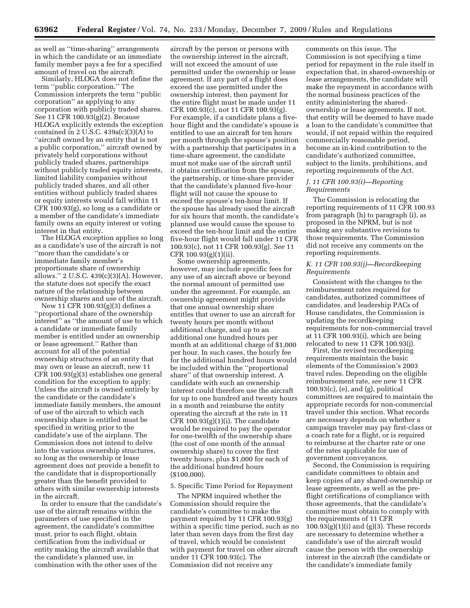as well as ''time-sharing'' arrangements in which the candidate or an immediate family member pays a fee for a specified amount of travel on the aircraft.

Similarly, HLOGA does not define the term ''public corporation.'' The Commission interprets the term ''public corporation'' as applying to any corporation with publicly traded shares. *See* 11 CFR 100.93(g)(2). Because HLOGA explicitly extends the exception contained in 2 U.S.C.  $439a(c)(3)(A)$  to ''aircraft owned by an entity that is not a public corporation,'' aircraft owned by privately held corporations without publicly traded shares, partnerships without publicly traded equity interests, limited liability companies without publicly traded shares, and all other entities without publicly traded shares or equity interests would fall within 11 CFR 100.93(g), so long as a candidate or a member of the candidate's immediate family owns an equity interest or voting interest in that entity.

The HLOGA exception applies so long as a candidate's use of the aircraft is not ''more than the candidate's or immediate family member's proportionate share of ownership allows.'' 2 U.S.C. 439(c)(3)(A). However, the statute does not specify the exact nature of the relationship between ownership shares and use of the aircraft.

New 11 CFR 100.93(g)(3) defines a ''proportional share of the ownership interest'' as ''the amount of use to which a candidate or immediate family member is entitled under an ownership or lease agreement.'' Rather than account for all of the potential ownership structures of an entity that may own or lease an aircraft, new 11 CFR 100.93(g)(3) establishes one general condition for the exception to apply: Unless the aircraft is owned entirely by the candidate or the candidate's immediate family members, the amount of use of the aircraft to which each ownership share is entitled must be specified in writing prior to the candidate's use of the airplane. The Commission does not intend to delve into the various ownership structures, so long as the ownership or lease agreement does not provide a benefit to the candidate that is disproportionally greater than the benefit provided to others with similar ownership interests in the aircraft.

In order to ensure that the candidate's use of the aircraft remains within the parameters of use specified in the agreement, the candidate's committee must, prior to each flight, obtain certification from the individual or entity making the aircraft available that the candidate's planned use, in combination with the other uses of the

aircraft by the person or persons with the ownership interest in the aircraft, will not exceed the amount of use permitted under the ownership or lease agreement. If any part of a flight does exceed the use permitted under the ownership interest, then payment for the entire flight must be made under 11 CFR 100.93(c), not 11 CFR 100.93(g). For example, if a candidate plans a fivehour flight and the candidate's spouse is entitled to use an aircraft for ten hours per month through the spouse's position with a partnership that participates in a time-share agreement, the candidate must not make use of the aircraft until it obtains certification from the spouse, the partnership, or time-share provider that the candidate's planned five-hour flight will not cause the spouse to exceed the spouse's ten-hour limit. If the spouse has already used the aircraft for six hours that month, the candidate's planned use would cause the spouse to exceed the ten-hour limit and the entire five-hour flight would fall under 11 CFR 100.93(c), not 11 CFR 100.93(g). *See* 11 CFR 100.93(g)(1)(ii).

Some ownership agreements, however, may include specific fees for any use of an aircraft above or beyond the normal amount of permitted use under the agreement. For example, an ownership agreement might provide that one annual ownership share entitles that owner to use an aircraft for twenty hours per month without additional charge, and up to an additional one hundred hours per month at an additional charge of \$1,000 per hour. In such cases, the hourly fee for the additional hundred hours would be included within the ''proportional share'' of that ownership interest. A candidate with such an ownership interest could therefore use the aircraft for up to one hundred and twenty hours in a month and reimburse the entity operating the aircraft at the rate in 11 CFR  $100.93(g)(1)(i)$ . The candidate would be required to pay the operator for one-twelfth of the ownership share (the cost of one month of the annual ownership share) to cover the first twenty hours, plus \$1,000 for each of the additional hundred hours (\$100,000).

## 5. Specific Time Period for Repayment

The NPRM inquired whether the Commission should require the candidate's committee to make the payment required by 11 CFR 100.93(g) within a specific time period, such as no later than seven days from the first day of travel, which would be consistent with payment for travel on other aircraft under 11 CFR 100.93(c). The Commission did not receive any

comments on this issue. The Commission is not specifying a time period for repayment in the rule itself in expectation that, in shared-ownership or lease arrangements, the candidate will make the repayment in accordance with the normal business practices of the entity administering the sharedownership or lease agreements. If not, that entity will be deemed to have made a loan to the candidate's committee that would, if not repaid within the required commercially reasonable period, become an in-kind contribution to the candidate's authorized committee, subject to the limits, prohibitions, and reporting requirements of the Act.

## *J. 11 CFR 100.93(i)—Reporting Requirements*

The Commission is relocating the reporting requirements of 11 CFR 100.93 from paragraph (h) to paragraph (i), as proposed in the NPRM, but is not making any substantive revisions to those requirements. The Commission did not receive any comments on the reporting requirements.

## *K. 11 CFR 100.93(j)—Recordkeeping Requirements*

Consistent with the changes to the reimbursement rates required for candidates, authorized committees of candidates, and leadership PACs of House candidates, the Commission is updating the recordkeeping requirements for non-commercial travel at 11 CFR 100.93(i), which are being relocated to new 11 CFR 100.93(j).

First, the revised recordkeeping requirements maintain the basic elements of the Commission's 2003 travel rules. Depending on the eligible reimbursement rate, *see* new 11 CFR 100.93(c), (e), and (g), political committees are required to maintain the appropriate records for non-commercial travel under this section. What records are necessary depends on whether a campaign traveler may pay first-class or a coach rate for a flight, or is required to reimburse at the charter rate or one of the rates applicable for use of government conveyances.

Second, the Commission is requiring candidate committees to obtain and keep copies of any shared-ownership or lease agreements, as well as the preflight certifications of compliance with those agreements, that the candidate's committee must obtain to comply with the requirements of 11 CFR  $100.93(g)(1)(i)$  and  $(g)(3)$ . These records are necessary to determine whether a candidate's use of the aircraft would cause the person with the ownership interest in the aircraft (the candidate or the candidate's immediate family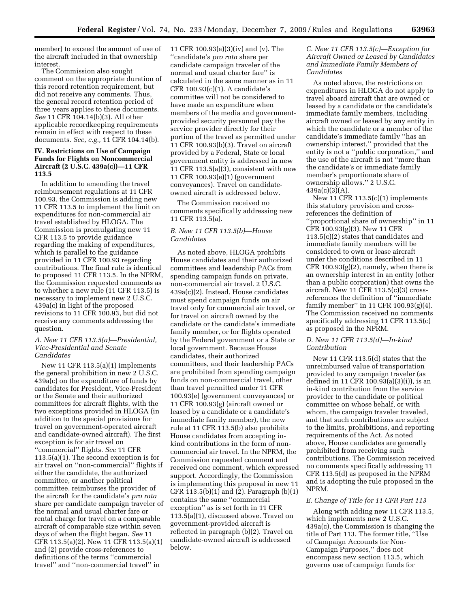member) to exceed the amount of use of the aircraft included in that ownership interest.

The Commission also sought comment on the appropriate duration of this record retention requirement, but did not receive any comments. Thus, the general record retention period of three years applies to these documents. *See* 11 CFR 104.14(b)(3). All other applicable recordkeeping requirements remain in effect with respect to these documents. *See, e.g.,* 11 CFR 104.14(b).

## **IV. Restrictions on Use of Campaign Funds for Flights on Noncommercial Aircraft (2 U.S.C. 439a(c))—11 CFR 113.5**

In addition to amending the travel reimbursement regulations at 11 CFR 100.93, the Commission is adding new 11 CFR 113.5 to implement the limit on expenditures for non-commercial air travel established by HLOGA. The Commission is promulgating new 11 CFR 113.5 to provide guidance regarding the making of expenditures, which is parallel to the guidance provided in 11 CFR 100.93 regarding contributions. The final rule is identical to proposed 11 CFR 113.5. In the NPRM, the Commission requested comments as to whether a new rule (11 CFR 113.5) is necessary to implement new 2 U.S.C. 439a(c) in light of the proposed revisions to 11 CFR 100.93, but did not receive any comments addressing the question.

## *A. New 11 CFR 113.5(a)—Presidential, Vice-Presidential and Senate Candidates*

New 11 CFR 113.5(a)(1) implements the general prohibition in new 2 U.S.C. 439a(c) on the expenditure of funds by candidates for President, Vice-President or the Senate and their authorized committees for aircraft flights, with the two exceptions provided in HLOGA (in addition to the special provisions for travel on government-operated aircraft and candidate-owned aircraft). The first exception is for air travel on ''commercial'' flights. *See* 11 CFR 113.5(a)(1). The second exception is for air travel on ''non-commercial'' flights if either the candidate, the authorized committee, or another political committee, reimburses the provider of the aircraft for the candidate's *pro rata*  share per candidate campaign traveler of the normal and usual charter fare or rental charge for travel on a comparable aircraft of comparable size within seven days of when the flight began. *See* 11 CFR 113.5(a)(2). New 11 CFR 113.5(a)(1) and (2) provide cross-references to definitions of the terms ''commercial travel'' and ''non-commercial travel'' in

11 CFR 100.93(a)(3)(iv) and (v). The ''candidate's *pro rata* share per candidate campaign traveler of the normal and usual charter fare'' is calculated in the same manner as in 11 CFR 100.93(c)(1). A candidate's committee will not be considered to have made an expenditure when members of the media and governmentprovided security personnel pay the service provider directly for their portion of the travel as permitted under 11 CFR 100.93(b)(3). Travel on aircraft provided by a Federal, State or local government entity is addressed in new 11 CFR 113.5(a)(3), consistent with new 11 CFR 100.93(e)(1) (government conveyances). Travel on candidateowned aircraft is addressed below.

The Commission received no comments specifically addressing new 11 CFR 113.5(a).

# *B. New 11 CFR 113.5(b)—House Candidates*

As noted above, HLOGA prohibits House candidates and their authorized committees and leadership PACs from spending campaign funds on private, non-commercial air travel. 2 U.S.C. 439a(c)(2). Instead, House candidates must spend campaign funds on air travel only for commercial air travel, or for travel on aircraft owned by the candidate or the candidate's immediate family member, or for flights operated by the Federal government or a State or local government. Because House candidates, their authorized committees, and their leadership PACs are prohibited from spending campaign funds on non-commercial travel, other than travel permitted under 11 CFR 100.93(e) (government conveyances) or 11 CFR 100.93(g) (aircraft owned or leased by a candidate or a candidate's immediate family member), the new rule at 11 CFR 113.5(b) also prohibits House candidates from accepting inkind contributions in the form of noncommercial air travel. In the NPRM, the Commission requested comment and received one comment, which expressed support. Accordingly, the Commission is implementing this proposal in new 11 CFR 113.5(b)(1) and (2). Paragraph (b)(1) contains the same ''commercial exception'' as is set forth in 11 CFR 113.5(a)(1), discussed above. Travel on government-provided aircraft is reflected in paragraph (b)(2). Travel on candidate-owned aircraft is addressed below.

*C. New 11 CFR 113.5(c)—Exception for Aircraft Owned or Leased by Candidates and Immediate Family Members of Candidates* 

As noted above, the restrictions on expenditures in HLOGA do not apply to travel aboard aircraft that are owned or leased by a candidate or the candidate's immediate family members, including aircraft owned or leased by any entity in which the candidate or a member of the candidate's immediate family ''has an ownership interest,'' provided that the entity is not a ''public corporation,'' and the use of the aircraft is not ''more than the candidate's or immediate family member's proportionate share of ownership allows.'' 2 U.S.C.  $439a(c)(3)(A)$ .

New 11 CFR 113.5(c)(1) implements this statutory provision and crossreferences the definition of ''proportional share of ownership'' in 11 CFR 100.93(g)(3). New 11 CFR 113.5(c)(2) states that candidates and immediate family members will be considered to own or lease aircraft under the conditions described in 11 CFR  $100.93(g)(2)$ , namely, when there is an ownership interest in an entity (other than a public corporation) that owns the aircraft. New 11 CFR 113.5(c)(3) crossreferences the definition of ''immediate family member'' in 11 CFR 100.93(g)(4). The Commission received no comments specifically addressing 11 CFR 113.5(c) as proposed in the NPRM.

## *D. New 11 CFR 113.5(d)—In-kind Contribution*

New 11 CFR 113.5(d) states that the unreimbursed value of transportation provided to any campaign traveler (as defined in 11 CFR 100.93(a)(3)(i)), is an in-kind contribution from the service provider to the candidate or political committee on whose behalf, or with whom, the campaign traveler traveled, and that such contributions are subject to the limits, prohibitions, and reporting requirements of the Act. As noted above, House candidates are generally prohibited from receiving such contributions. The Commission received no comments specifically addressing 11 CFR 113.5(d) as proposed in the NPRM and is adopting the rule proposed in the NPRM.

## *E. Change of Title for 11 CFR Part 113*

Along with adding new 11 CFR 113.5, which implements new 2 U.S.C. 439a(c), the Commission is changing the title of Part 113. The former title, ''Use of Campaign Accounts for Non-Campaign Purposes,'' does not encompass new section 113.5, which governs use of campaign funds for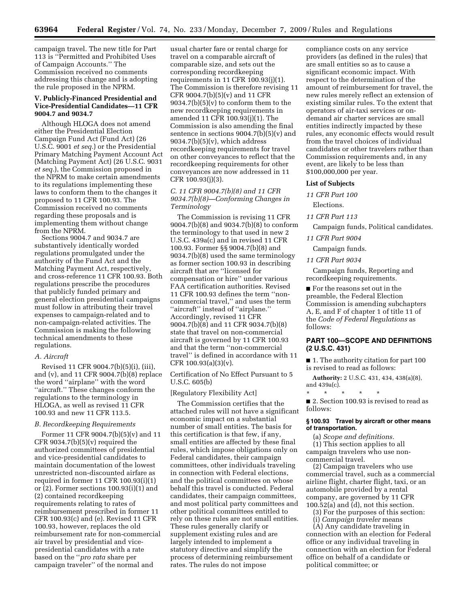campaign travel. The new title for Part 113 is ''Permitted and Prohibited Uses of Campaign Accounts.'' The Commission received no comments addressing this change and is adopting the rule proposed in the NPRM.

## **V. Publicly-Financed Presidential and Vice-Presidential Candidates—11 CFR 9004.7 and 9034.7**

Although HLOGA does not amend either the Presidential Election Campaign Fund Act (Fund Act) (26 U.S.C. 9001 *et seq.*) or the Presidential Primary Matching Payment Account Act (Matching Payment Act) (26 U.S.C. 9031 *et seq.*), the Commission proposed in the NPRM to make certain amendments to its regulations implementing these laws to conform them to the changes it proposed to 11 CFR 100.93. The Commission received no comments regarding these proposals and is implementing them without change from the NPRM.

Sections 9004.7 and 9034.7 are substantively identically worded regulations promulgated under the authority of the Fund Act and the Matching Payment Act, respectively, and cross-reference 11 CFR 100.93. Both regulations prescribe the procedures that publicly funded primary and general election presidential campaigns must follow in attributing their travel expenses to campaign-related and to non-campaign-related activities. The Commission is making the following technical amendments to these regulations.

#### *A. Aircraft*

Revised 11 CFR 9004.7(b)(5)(i), (iii), and (v), and 11 CFR 9004.7(b)(8) replace the word ''airplane'' with the word ''aircraft.'' These changes conform the regulations to the terminology in HLOGA, as well as revised 11 CFR 100.93 and new 11 CFR 113.5.

#### *B. Recordkeeping Requirements*

Former 11 CFR 9004.7(b)(5)(v) and 11 CFR  $9034.7(b)(5)(v)$  required the authorized committees of presidential and vice-presidential candidates to maintain documentation of the lowest unrestricted non-discounted airfare as required in former 11 CFR 100.93(i)(1) or (2). Former sections 100.93(i)(1) and (2) contained recordkeeping requirements relating to rates of reimbursement prescribed in former 11 CFR 100.93(c) and (e). Revised 11 CFR 100.93, however, replaces the old reimbursement rate for non-commercial air travel by presidential and vicepresidential candidates with a rate based on the ''*pro rata* share per campaign traveler'' of the normal and

usual charter fare or rental charge for travel on a comparable aircraft of comparable size, and sets out the corresponding recordkeeping requirements in 11 CFR 100.93(j)(1). The Commission is therefore revising 11 CFR 9004.7(b)(5)(v) and 11 CFR  $9034.7(b)(5)(v)$  to conform them to the new recordkeeping requirements in amended 11 CFR 100.93(j)(1). The Commission is also amending the final sentence in sections  $9004.7(b)(5)(v)$  and  $9034.7(b)(5)(v)$ , which address recordkeeping requirements for travel on other conveyances to reflect that the recordkeeping requirements for other conveyances are now addressed in 11 CFR 100.93(j)(3).

# *C. 11 CFR 9004.7(b)(8) and 11 CFR 9034.7(b)(8)—Conforming Changes in Terminology*

The Commission is revising 11 CFR 9004.7(b)(8) and 9034.7(b)(8) to conform the terminology to that used in new 2 U.S.C. 439a(c) and in revised 11 CFR 100.93. Former §§ 9004.7(b)(8) and 9034.7(b)(8) used the same terminology as former section 100.93 in describing aircraft that are ''licensed for compensation or hire'' under various FAA certification authorities. Revised 11 CFR 100.93 defines the term ''noncommercial travel,'' and uses the term ''aircraft'' instead of ''airplane.'' Accordingly, revised 11 CFR 9004.7(b)(8) and 11 CFR 9034.7(b)(8) state that travel on non-commercial aircraft is governed by 11 CFR 100.93 and that the term ''non-commercial travel'' is defined in accordance with 11 CFR  $100.93(a)(3)(v)$ .

Certification of No Effect Pursuant to 5 U.S.C. 605(b)

#### [Regulatory Flexibility Act]

The Commission certifies that the attached rules will not have a significant economic impact on a substantial number of small entities. The basis for this certification is that few, if any, small entities are affected by these final rules, which impose obligations only on Federal candidates, their campaign committees, other individuals traveling in connection with Federal elections, and the political committees on whose behalf this travel is conducted. Federal candidates, their campaign committees, and most political party committees and other political committees entitled to rely on these rules are not small entities. These rules generally clarify or supplement existing rules and are largely intended to implement a statutory directive and simplify the process of determining reimbursement rates. The rules do not impose

compliance costs on any service providers (as defined in the rules) that are small entities so as to cause a significant economic impact. With respect to the determination of the amount of reimbursement for travel, the new rules merely reflect an extension of existing similar rules. To the extent that operators of air-taxi services or ondemand air charter services are small entities indirectly impacted by these rules, any economic effects would result from the travel choices of individual candidates or other travelers rather than Commission requirements and, in any event, are likely to be less than \$100,000,000 per year.

#### **List of Subjects**

*11 CFR Part 100*  Elections.

*11 CFR Part 113* 

Campaign funds, Political candidates.

*11 CFR Part 9004* 

Campaign funds.

#### *11 CFR Part 9034*

Campaign funds, Reporting and recordkeeping requirements.

■ For the reasons set out in the preamble, the Federal Election Commission is amending subchapters A, E, and F of chapter 1 of title 11 of the *Code of Federal Regulations* as follows:

# **PART 100—SCOPE AND DEFINITIONS (2 U.S.C. 431)**

■ 1. The authority citation for part 100 is revised to read as follows:

**Authority:** 2 U.S.C. 431, 434, 438(a)(8), and 439a(c).

\* \* \* \* \* ■ 2. Section 100.93 is revised to read as follows:

## **§ 100.93 Travel by aircraft or other means of transportation.**

(a) *Scope and definitions.*  (1) This section applies to all campaign travelers who use noncommercial travel.

(2) Campaign travelers who use commercial travel, such as a commercial airline flight, charter flight, taxi, or an automobile provided by a rental company, are governed by 11 CFR 100.52(a) and (d), not this section.

- (3) For the purposes of this section:
- (i) *Campaign traveler* means

(A) Any candidate traveling in connection with an election for Federal office or any individual traveling in connection with an election for Federal office on behalf of a candidate or political committee; or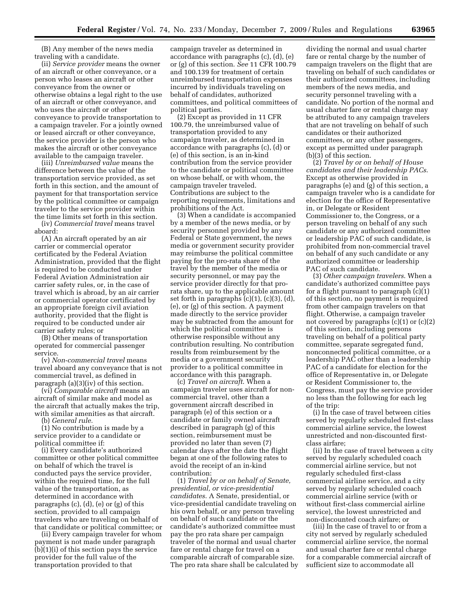(B) Any member of the news media traveling with a candidate.

(ii) *Service provider* means the owner of an aircraft or other conveyance, or a person who leases an aircraft or other conveyance from the owner or otherwise obtains a legal right to the use of an aircraft or other conveyance, and who uses the aircraft or other conveyance to provide transportation to a campaign traveler. For a jointly owned or leased aircraft or other conveyance, the service provider is the person who makes the aircraft or other conveyance available to the campaign traveler.

(iii) *Unreimbursed value* means the difference between the value of the transportation service provided, as set forth in this section, and the amount of payment for that transportation service by the political committee or campaign traveler to the service provider within the time limits set forth in this section.

(iv) *Commercial travel* means travel aboard:

(A) An aircraft operated by an air carrier or commercial operator certificated by the Federal Aviation Administration, provided that the flight is required to be conducted under Federal Aviation Administration air carrier safety rules, or, in the case of travel which is abroad, by an air carrier or commercial operator certificated by an appropriate foreign civil aviation authority, provided that the flight is required to be conducted under air carrier safety rules; or

(B) Other means of transportation operated for commercial passenger service.

(v) *Non-commercial travel* means travel aboard any conveyance that is not commercial travel, as defined in paragraph (a)(3)(iv) of this section.

(vi) *Comparable aircraft* means an aircraft of similar make and model as the aircraft that actually makes the trip, with similar amenities as that aircraft.

(b) *General rule.* 

(1) No contribution is made by a service provider to a candidate or political committee if:

(i) Every candidate's authorized committee or other political committee on behalf of which the travel is conducted pays the service provider, within the required time, for the full value of the transportation, as determined in accordance with paragraphs (c), (d), (e) or (g) of this section, provided to all campaign travelers who are traveling on behalf of that candidate or political committee; or

(ii) Every campaign traveler for whom payment is not made under paragraph (b)(1)(i) of this section pays the service provider for the full value of the transportation provided to that

campaign traveler as determined in accordance with paragraphs (c), (d), (e) or (g) of this section. *See* 11 CFR 100.79 and 100.139 for treatment of certain unreimbursed transportation expenses incurred by individuals traveling on behalf of candidates, authorized committees, and political committees of political parties.

(2) Except as provided in 11 CFR 100.79, the unreimbursed value of transportation provided to any campaign traveler, as determined in accordance with paragraphs (c), (d) or (e) of this section, is an in-kind contribution from the service provider to the candidate or political committee on whose behalf, or with whom, the campaign traveler traveled. Contributions are subject to the reporting requirements, limitations and prohibitions of the Act.

(3) When a candidate is accompanied by a member of the news media, or by security personnel provided by any Federal or State government, the news media or government security provider may reimburse the political committee paying for the pro-rata share of the travel by the member of the media or security personnel, or may pay the service provider directly for that prorata share, up to the applicable amount set forth in paragraphs  $(c)(1)$ ,  $(c)(3)$ ,  $(d)$ , (e), or (g) of this section. A payment made directly to the service provider may be subtracted from the amount for which the political committee is otherwise responsible without any contribution resulting. No contribution results from reimbursement by the media or a government security provider to a political committee in accordance with this paragraph.

(c) *Travel on aircraft*. When a campaign traveler uses aircraft for noncommercial travel, other than a government aircraft described in paragraph (e) of this section or a candidate or family owned aircraft described in paragraph (g) of this section, reimbursement must be provided no later than seven (7) calendar days after the date the flight began at one of the following rates to avoid the receipt of an in-kind contribution:

(1) *Travel by or on behalf of Senate, presidential, or vice-presidential candidates*. A Senate, presidential, or vice-presidential candidate traveling on his own behalf, or any person traveling on behalf of such candidate or the candidate's authorized committee must pay the pro rata share per campaign traveler of the normal and usual charter fare or rental charge for travel on a comparable aircraft of comparable size. The pro rata share shall be calculated by

dividing the normal and usual charter fare or rental charge by the number of campaign travelers on the flight that are traveling on behalf of such candidates or their authorized committees, including members of the news media, and security personnel traveling with a candidate. No portion of the normal and usual charter fare or rental charge may be attributed to any campaign travelers that are not traveling on behalf of such candidates or their authorized committees, or any other passengers, except as permitted under paragraph (b)(3) of this section.

(2) *Travel by or on behalf of House candidates and their leadership PACs*. Except as otherwise provided in paragraphs (e) and (g) of this section, a campaign traveler who is a candidate for election for the office of Representative in, or Delegate or Resident Commissioner to, the Congress, or a person traveling on behalf of any such candidate or any authorized committee or leadership PAC of such candidate, is prohibited from non-commercial travel on behalf of any such candidate or any authorized committee or leadership PAC of such candidate.

(3) *Other campaign travelers*. When a candidate's authorized committee pays for a flight pursuant to paragraph (c)(1) of this section, no payment is required from other campaign travelers on that flight. Otherwise, a campaign traveler not covered by paragraphs  $(c)(1)$  or  $(c)(2)$ of this section, including persons traveling on behalf of a political party committee, separate segregated fund, nonconnected political committee, or a leadership PAC other than a leadership PAC of a candidate for election for the office of Representative in, or Delegate or Resident Commissioner to, the Congress, must pay the service provider no less than the following for each leg of the trip:

(i) In the case of travel between cities served by regularly scheduled first-class commercial airline service, the lowest unrestricted and non-discounted firstclass airfare;

(ii) In the case of travel between a city served by regularly scheduled coach commercial airline service, but not regularly scheduled first-class commercial airline service, and a city served by regularly scheduled coach commercial airline service (with or without first-class commercial airline service), the lowest unrestricted and non-discounted coach airfare; or

(iii) In the case of travel to or from a city not served by regularly scheduled commercial airline service, the normal and usual charter fare or rental charge for a comparable commercial aircraft of sufficient size to accommodate all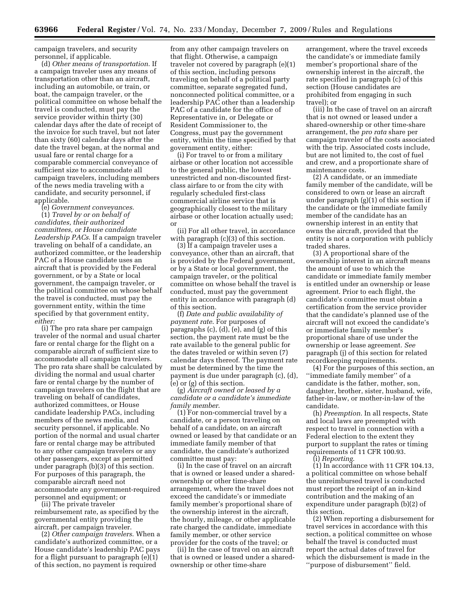campaign travelers, and security personnel, if applicable.

(d) *Other means of transportation*. If a campaign traveler uses any means of transportation other than an aircraft, including an automobile, or train, or boat, the campaign traveler, or the political committee on whose behalf the travel is conducted, must pay the service provider within thirty (30) calendar days after the date of receipt of the invoice for such travel, but not later than sixty (60) calendar days after the date the travel began, at the normal and usual fare or rental charge for a comparable commercial conveyance of sufficient size to accommodate all campaign travelers, including members of the news media traveling with a candidate, and security personnel, if applicable.

(e) *Government conveyances*. (1) *Travel by or on behalf of candidates, their authorized committees, or House candidate Leadership PACs*. If a campaign traveler traveling on behalf of a candidate, an authorized committee, or the leadership PAC of a House candidate uses an aircraft that is provided by the Federal government, or by a State or local government, the campaign traveler, or the political committee on whose behalf the travel is conducted, must pay the government entity, within the time specified by that government entity, *either:* 

(i) The pro rata share per campaign traveler of the normal and usual charter fare or rental charge for the flight on a comparable aircraft of sufficient size to accommodate all campaign travelers. The pro rata share shall be calculated by dividing the normal and usual charter fare or rental charge by the number of campaign travelers on the flight that are traveling on behalf of candidates, authorized committees, or House candidate leadership PACs, including members of the news media, and security personnel, if applicable. No portion of the normal and usual charter fare or rental charge may be attributed to any other campaign travelers or any other passengers, except as permitted under paragraph (b)(3) of this section. For purposes of this paragraph, the comparable aircraft need not accommodate any government-required personnel and equipment; or

(ii) The private traveler reimbursement rate, as specified by the governmental entity providing the aircraft, per campaign traveler.

(2) *Other campaign travelers*. When a candidate's authorized committee, or a House candidate's leadership PAC pays for a flight pursuant to paragraph (e)(1) of this section, no payment is required

from any other campaign travelers on that flight. Otherwise, a campaign traveler not covered by paragraph (e)(1) of this section, including persons traveling on behalf of a political party committee, separate segregated fund, nonconnected political committee, or a leadership PAC other than a leadership PAC of a candidate for the office of Representative in, or Delegate or Resident Commissioner to, the Congress, must pay the government entity, within the time specified by that government entity, either:

(i) For travel to or from a military airbase or other location not accessible to the general public, the lowest unrestricted and non-discounted firstclass airfare to or from the city with regularly scheduled first-class commercial airline service that is geographically closest to the military airbase or other location actually used; or

(ii) For all other travel, in accordance with paragraph (c)(3) of this section.

(3) If a campaign traveler uses a conveyance, other than an aircraft, that is provided by the Federal government, or by a State or local government, the campaign traveler, or the political committee on whose behalf the travel is conducted, must pay the government entity in accordance with paragraph (d) of this section.

(f) *Date and public availability of payment rate*. For purposes of paragraphs (c), (d), (e), and (g) of this section, the payment rate must be the rate available to the general public for the dates traveled or within seven (7) calendar days thereof. The payment rate must be determined by the time the payment is due under paragraph (c), (d), (e) or (g) of this section.

(g) *Aircraft owned or leased by a candidate or a candidate's immediate family member*.

(1) For non-commercial travel by a candidate, or a person traveling on behalf of a candidate, on an aircraft owned or leased by that candidate or an immediate family member of that candidate, the candidate's authorized committee must pay:

(i) In the case of travel on an aircraft that is owned or leased under a sharedownership or other time-share arrangement, where the travel does not exceed the candidate's or immediate family member's proportional share of the ownership interest in the aircraft, the hourly, mileage, or other applicable rate charged the candidate, immediate family member, or other service provider for the costs of the travel; or

(ii) In the case of travel on an aircraft that is owned or leased under a sharedownership or other time-share

arrangement, where the travel exceeds the candidate's or immediate family member's proportional share of the ownership interest in the aircraft, the rate specified in paragraph (c) of this section (House candidates are prohibited from engaging in such travel); or

(iii) In the case of travel on an aircraft that is not owned or leased under a shared-ownership or other time-share arrangement, the *pro rata* share per campaign traveler of the costs associated with the trip. Associated costs include, but are not limited to, the cost of fuel and crew, and a proportionate share of maintenance costs.

(2) A candidate, or an immediate family member of the candidate, will be considered to own or lease an aircraft under paragraph (g)(1) of this section if the candidate or the immediate family member of the candidate has an ownership interest in an entity that owns the aircraft, provided that the entity is not a corporation with publicly traded shares.

(3) A proportional share of the ownership interest in an aircraft means the amount of use to which the candidate or immediate family member is entitled under an ownership or lease agreement. Prior to each flight, the candidate's committee must obtain a certification from the service provider that the candidate's planned use of the aircraft will not exceed the candidate's or immediate family member's proportional share of use under the ownership or lease agreement. *See*  paragraph (j) of this section for related recordkeeping requirements.

(4) For the purposes of this section, an ''immediate family member'' of a candidate is the father, mother, son, daughter, brother, sister, husband, wife, father-in-law, or mother-in-law of the candidate.

(h) *Preemption*. In all respects, State and local laws are preempted with respect to travel in connection with a Federal election to the extent they purport to supplant the rates or timing requirements of 11 CFR 100.93. (i) *Reporting*.

(1) In accordance with 11 CFR 104.13, a political committee on whose behalf the unreimbursed travel is conducted must report the receipt of an in-kind contribution and the making of an expenditure under paragraph (b)(2) of this section.

(2) When reporting a disbursement for travel services in accordance with this section, a political committee on whose behalf the travel is conducted must report the actual dates of travel for which the disbursement is made in the ''purpose of disbursement'' field.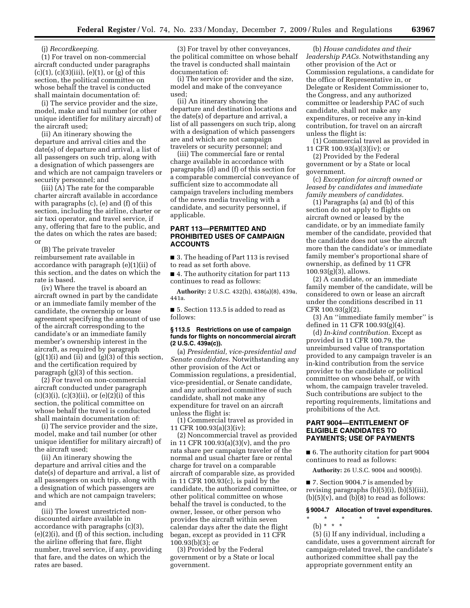(j) *Recordkeeping.* 

(1) For travel on non-commercial aircraft conducted under paragraphs  $(c)(1)$ ,  $(c)(3)(iii)$ ,  $(e)(1)$ , or  $(g)$  of this section, the political committee on whose behalf the travel is conducted shall maintain documentation of:

(i) The service provider and the size, model, make and tail number (or other unique identifier for military aircraft) of the aircraft used;

(ii) An itinerary showing the departure and arrival cities and the date(s) of departure and arrival, a list of all passengers on such trip, along with a designation of which passengers are and which are not campaign travelers or security personnel; and

(iii) (A) The rate for the comparable charter aircraft available in accordance with paragraphs (c), (e) and (f) of this section, including the airline, charter or air taxi operator, and travel service, if any, offering that fare to the public, and the dates on which the rates are based; or

(B) The private traveler reimbursement rate available in accordance with paragraph (e)(1)(ii) of this section, and the dates on which the rate is based.

(iv) Where the travel is aboard an aircraft owned in part by the candidate or an immediate family member of the candidate, the ownership or lease agreement specifying the amount of use of the aircraft corresponding to the candidate's or an immediate family member's ownership interest in the aircraft, as required by paragraph  $(g)(1)(i)$  and  $(ii)$  and  $(g)(3)$  of this section, and the certification required by paragraph (g)(3) of this section.

(2) For travel on non-commercial aircraft conducted under paragraph  $(c)(3)(i)$ ,  $(c)(3)(ii)$ , or  $(e)(2)(i)$  of this section, the political committee on whose behalf the travel is conducted shall maintain documentation of:

(i) The service provider and the size, model, make and tail number (or other unique identifier for military aircraft) of the aircraft used;

(ii) An itinerary showing the departure and arrival cities and the date(s) of departure and arrival, a list of all passengers on such trip, along with a designation of which passengers are and which are not campaign travelers; and

(iii) The lowest unrestricted nondiscounted airfare available in accordance with paragraphs (c)(3), (e)(2)(i), and (f) of this section, including the airline offering that fare, flight number, travel service, if any, providing that fare, and the dates on which the rates are based.

(3) For travel by other conveyances, the political committee on whose behalf the travel is conducted shall maintain documentation of:

(i) The service provider and the size, model and make of the conveyance used;

(ii) An itinerary showing the departure and destination locations and the date(s) of departure and arrival, a list of all passengers on such trip, along with a designation of which passengers are and which are not campaign travelers or security personnel; and

(iii) The commercial fare or rental charge available in accordance with paragraphs (d) and (f) of this section for a comparable commercial conveyance of sufficient size to accommodate all campaign travelers including members of the news media traveling with a candidate, and security personnel, if applicable.

# **PART 113—PERMITTED AND PROHIBITED USES OF CAMPAIGN ACCOUNTS**

■ 3. The heading of Part 113 is revised to read as set forth above.

■ 4. The authority citation for part 113 continues to read as follows:

**Authority:** 2 U.S.C. 432(h), 438(a)(8), 439a, 441a.

■ 5. Section 113.5 is added to read as follows:

#### **§ 113.5 Restrictions on use of campaign funds for flights on noncommercial aircraft (2 U.S.C. 439a(c)).**

(a) *Presidential, vice-presidential and Senate candidates.* Notwithstanding any other provision of the Act or Commission regulations, a presidential, vice-presidential, or Senate candidate, and any authorized committee of such candidate, shall not make any expenditure for travel on an aircraft unless the flight is:

(1) Commercial travel as provided in 11 CFR 100.93(a)(3)(iv);

(2) Noncommercial travel as provided in 11 CFR 100.93(a)(3)(v), and the pro rata share per campaign traveler of the normal and usual charter fare or rental charge for travel on a comparable aircraft of comparable size, as provided in 11 CFR 100.93(c), is paid by the candidate, the authorized committee, or other political committee on whose behalf the travel is conducted, to the owner, lessee, or other person who provides the aircraft within seven calendar days after the date the flight began, except as provided in 11 CFR 100.93(b)(3); or

(3) Provided by the Federal government or by a State or local government.

(b) *House candidates and their leadership PACs.* Notwithstanding any other provision of the Act or Commission regulations, a candidate for the office of Representative in, or Delegate or Resident Commissioner to, the Congress, and any authorized committee or leadership PAC of such candidate, shall not make any expenditures, or receive any in-kind contribution, for travel on an aircraft unless the flight is:

(1) Commercial travel as provided in 11 CFR 100.93(a)(3)(iv); or

(2) Provided by the Federal government or by a State or local government.

(c) *Exception for aircraft owned or leased by candidates and immediate family members of candidates.* 

(1) Paragraphs (a) and (b) of this section do not apply to flights on aircraft owned or leased by the candidate, or by an immediate family member of the candidate, provided that the candidate does not use the aircraft more than the candidate's or immediate family member's proportional share of ownership, as defined by 11 CFR 100.93(g)(3), allows.

(2) A candidate, or an immediate family member of the candidate, will be considered to own or lease an aircraft under the conditions described in 11 CFR 100.93(g)(2).

(3) An ''immediate family member'' is defined in 11 CFR 100.93(g)(4).

(d) *In-kind contribution.* Except as provided in 11 CFR 100.79, the unreimbursed value of transportation provided to any campaign traveler is an in-kind contribution from the service provider to the candidate or political committee on whose behalf, or with whom, the campaign traveler traveled. Such contributions are subject to the reporting requirements, limitations and prohibitions of the Act.

# **PART 9004—ENTITLEMENT OF ELIGIBLE CANDIDATES TO PAYMENTS; USE OF PAYMENTS**

■ 6. The authority citation for part 9004 continues to read as follows:

**Authority:** 26 U.S.C. 9004 and 9009(b).

■ 7. Section 9004.7 is amended by revising paragraphs  $(b)(5)(i)$ ,  $(b)(5)(iii)$ ,  $(b)(5)(v)$ , and  $(b)(8)$  to read as follows:

#### **§ 9004.7 Allocation of travel expenditures.**

- \* \* \* \* \*
- (b) \* \* \*

(5) (i) If any individual, including a candidate, uses a government aircraft for campaign-related travel, the candidate's authorized committee shall pay the appropriate government entity an